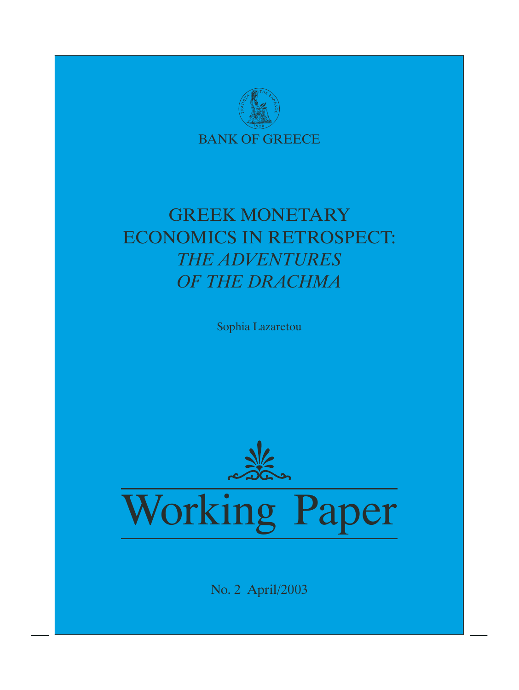

# GREEK MONETARY ECONOMICS IN RETROSPECT: *THE ADVENTURES OF THE DRACHMA*

Sophia Lazaretou



No. 2 April/2003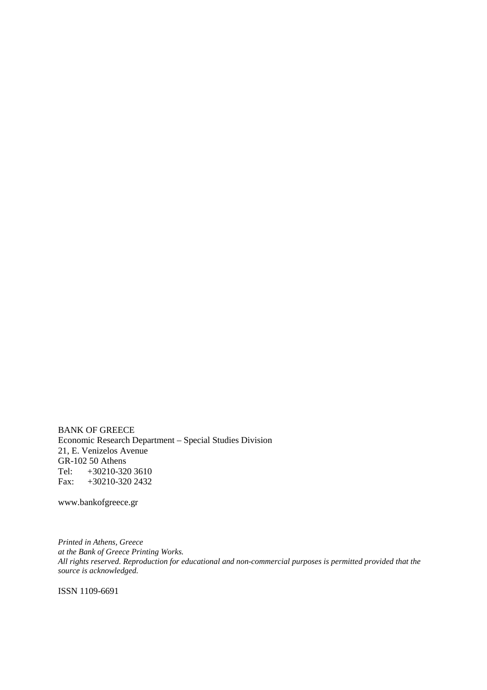BANK OF GREECE Economic Research Department – Special Studies Division 21, E. Venizelos Avenue GR-102 50 Athens Tel: +30210-320 3610 Fax: +30210-320 2432

www.bankofgreece.gr

*Printed in Athens, Greece at the Bank of Greece Printing Works. All rights reserved. Reproduction for educational and non-commercial purposes is permitted provided that the source is acknowledged.*

ISSN 1109-6691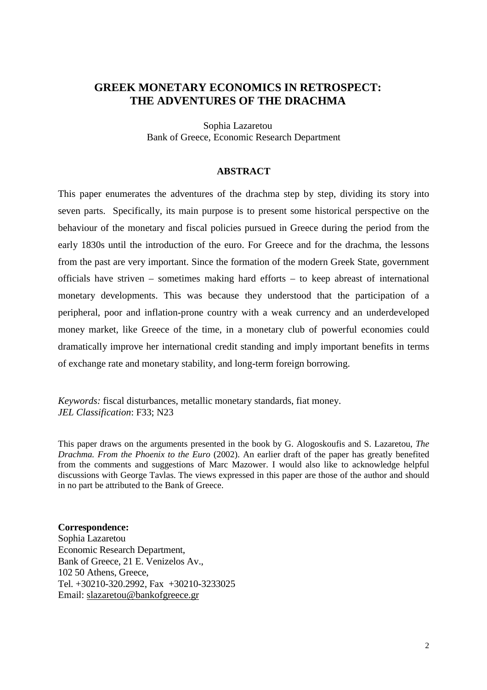## **GREEK MONETARY ECONOMICS IN RETROSPECT: THE ADVENTURES OF THE DRACHMA**

Sophia Lazaretou Bank of Greece, Economic Research Department

#### **ABSTRACT**

This paper enumerates the adventures of the drachma step by step, dividing its story into seven parts. Specifically, its main purpose is to present some historical perspective on the behaviour of the monetary and fiscal policies pursued in Greece during the period from the early 1830s until the introduction of the euro. For Greece and for the drachma, the lessons from the past are very important. Since the formation of the modern Greek State, government officials have striven – sometimes making hard efforts – to keep abreast of international monetary developments. This was because they understood that the participation of a peripheral, poor and inflation-prone country with a weak currency and an underdeveloped money market, like Greece of the time, in a monetary club of powerful economies could dramatically improve her international credit standing and imply important benefits in terms of exchange rate and monetary stability, and long-term foreign borrowing.

*Keywords:* fiscal disturbances, metallic monetary standards, fiat money. *JEL Classification*: F33; N23

This paper draws on the arguments presented in the book by G. Alogoskoufis and S. Lazaretou, *The Drachma. From the Phoenix to the Euro* (2002). An earlier draft of the paper has greatly benefited from the comments and suggestions of Marc Mazower. I would also like to acknowledge helpful discussions with George Tavlas. The views expressed in this paper are those of the author and should in no part be attributed to the Bank of Greece.

#### **Correspondence:**

Sophia Lazaretou Economic Research Department, Bank of Greece, 21 E. Venizelos Av., 102 50 Athens, Greece, Tel. +30210-320.2992, Fax +30210-3233025 Email: slazaretou@bankofgreece.gr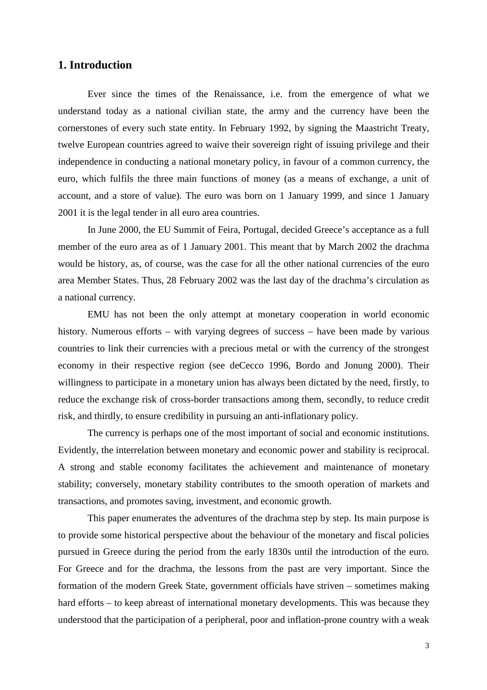## **1. Introduction**

Ever since the times of the Renaissance, i.e. from the emergence of what we understand today as a national civilian state, the army and the currency have been the cornerstones of every such state entity. In February 1992, by signing the Maastricht Treaty, twelve European countries agreed to waive their sovereign right of issuing privilege and their independence in conducting a national monetary policy, in favour of a common currency, the euro, which fulfils the three main functions of money (as a means of exchange, a unit of account, and a store of value). The euro was born on 1 January 1999, and since 1 January 2001 it is the legal tender in all euro area countries.

In June 2000, the EU Summit of Feira, Portugal, decided Greece's acceptance as a full member of the euro area as of 1 January 2001. This meant that by March 2002 the drachma would be history, as, of course, was the case for all the other national currencies of the euro area Member States. Thus, 28 February 2002 was the last day of the drachma's circulation as a national currency.

EMU has not been the only attempt at monetary cooperation in world economic history. Numerous efforts – with varying degrees of success – have been made by various countries to link their currencies with a precious metal or with the currency of the strongest economy in their respective region (see deCecco 1996, Bordo and Jonung 2000). Their willingness to participate in a monetary union has always been dictated by the need, firstly, to reduce the exchange risk of cross-border transactions among them, secondly, to reduce credit risk, and thirdly, to ensure credibility in pursuing an anti-inflationary policy.

The currency is perhaps one of the most important of social and economic institutions. Evidently, the interrelation between monetary and economic power and stability is reciprocal. A strong and stable economy facilitates the achievement and maintenance of monetary stability; conversely, monetary stability contributes to the smooth operation of markets and transactions, and promotes saving, investment, and economic growth.

This paper enumerates the adventures of the drachma step by step. Its main purpose is to provide some historical perspective about the behaviour of the monetary and fiscal policies pursued in Greece during the period from the early 1830s until the introduction of the euro. For Greece and for the drachma, the lessons from the past are very important. Since the formation of the modern Greek State, government officials have striven – sometimes making hard efforts – to keep abreast of international monetary developments. This was because they understood that the participation of a peripheral, poor and inflation-prone country with a weak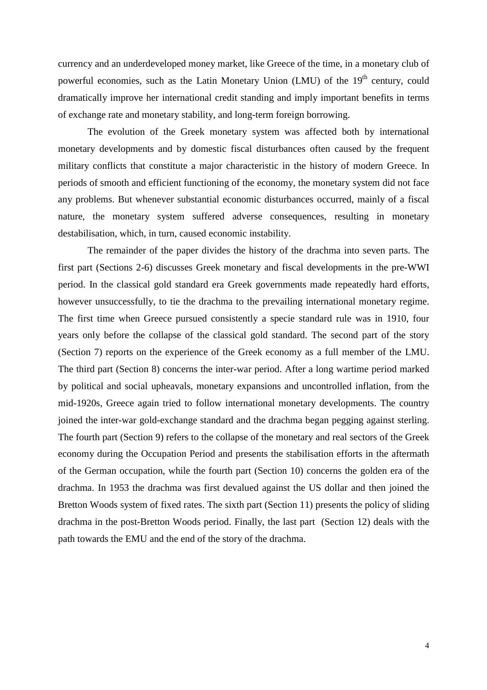currency and an underdeveloped money market, like Greece of the time, in a monetary club of powerful economies, such as the Latin Monetary Union (LMU) of the 19<sup>th</sup> century, could dramatically improve her international credit standing and imply important benefits in terms of exchange rate and monetary stability, and long-term foreign borrowing.

The evolution of the Greek monetary system was affected both by international monetary developments and by domestic fiscal disturbances often caused by the frequent military conflicts that constitute a major characteristic in the history of modern Greece. In periods of smooth and efficient functioning of the economy, the monetary system did not face any problems. But whenever substantial economic disturbances occurred, mainly of a fiscal nature, the monetary system suffered adverse consequences, resulting in monetary destabilisation, which, in turn, caused economic instability.

The remainder of the paper divides the history of the drachma into seven parts. The first part (Sections 2-6) discusses Greek monetary and fiscal developments in the pre-WWI period. In the classical gold standard era Greek governments made repeatedly hard efforts, however unsuccessfully, to tie the drachma to the prevailing international monetary regime. The first time when Greece pursued consistently a specie standard rule was in 1910, four years only before the collapse of the classical gold standard. The second part of the story (Section 7) reports on the experience of the Greek economy as a full member of the LMU. The third part (Section 8) concerns the inter-war period. After a long wartime period marked by political and social upheavals, monetary expansions and uncontrolled inflation, from the mid-1920s, Greece again tried to follow international monetary developments. The country joined the inter-war gold-exchange standard and the drachma began pegging against sterling. The fourth part (Section 9) refers to the collapse of the monetary and real sectors of the Greek economy during the Occupation Period and presents the stabilisation efforts in the aftermath of the German occupation, while the fourth part (Section 10) concerns the golden era of the drachma. In 1953 the drachma was first devalued against the US dollar and then joined the Bretton Woods system of fixed rates. The sixth part (Section 11) presents the policy of sliding drachma in the post-Bretton Woods period. Finally, the last part (Section 12) deals with the path towards the EMU and the end of the story of the drachma.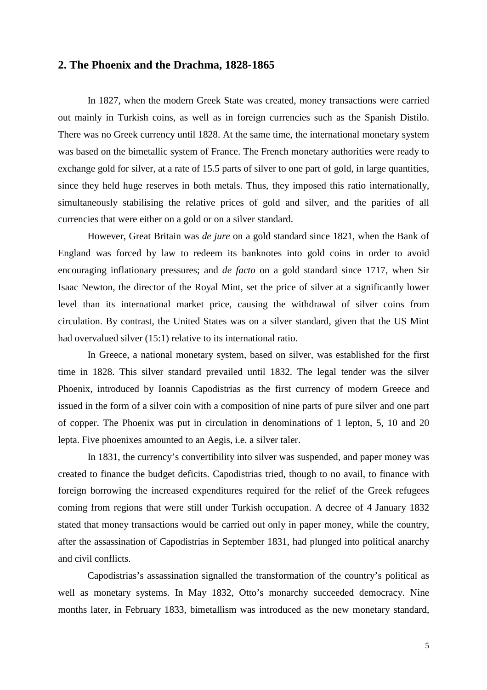### **2. The Phoenix and the Drachma, 1828-1865**

In 1827, when the modern Greek State was created, money transactions were carried out mainly in Turkish coins, as well as in foreign currencies such as the Spanish Distilo. There was no Greek currency until 1828. At the same time, the international monetary system was based on the bimetallic system of France. The French monetary authorities were ready to exchange gold for silver, at a rate of 15.5 parts of silver to one part of gold, in large quantities, since they held huge reserves in both metals. Thus, they imposed this ratio internationally, simultaneously stabilising the relative prices of gold and silver, and the parities of all currencies that were either on a gold or on a silver standard.

However, Great Britain was *de jure* on a gold standard since 1821, when the Bank of England was forced by law to redeem its banknotes into gold coins in order to avoid encouraging inflationary pressures; and *de facto* on a gold standard since 1717, when Sir Isaac Newton, the director of the Royal Mint, set the price of silver at a significantly lower level than its international market price, causing the withdrawal of silver coins from circulation. By contrast, the United States was on a silver standard, given that the US Mint had overvalued silver (15:1) relative to its international ratio.

In Greece, a national monetary system, based on silver, was established for the first time in 1828. This silver standard prevailed until 1832. The legal tender was the silver Phoenix, introduced by Ioannis Capodistrias as the first currency of modern Greece and issued in the form of a silver coin with a composition of nine parts of pure silver and one part of copper. The Phoenix was put in circulation in denominations of 1 lepton, 5, 10 and 20 lepta. Five phoenixes amounted to an Aegis, i.e. a silver taler.

In 1831, the currency's convertibility into silver was suspended, and paper money was created to finance the budget deficits. Capodistrias tried, though to no avail, to finance with foreign borrowing the increased expenditures required for the relief of the Greek refugees coming from regions that were still under Turkish occupation. A decree of 4 January 1832 stated that money transactions would be carried out only in paper money, while the country, after the assassination of Capodistrias in September 1831, had plunged into political anarchy and civil conflicts.

Capodistrias's assassination signalled the transformation of the country's political as well as monetary systems. In May 1832, Otto's monarchy succeeded democracy. Nine months later, in February 1833, bimetallism was introduced as the new monetary standard,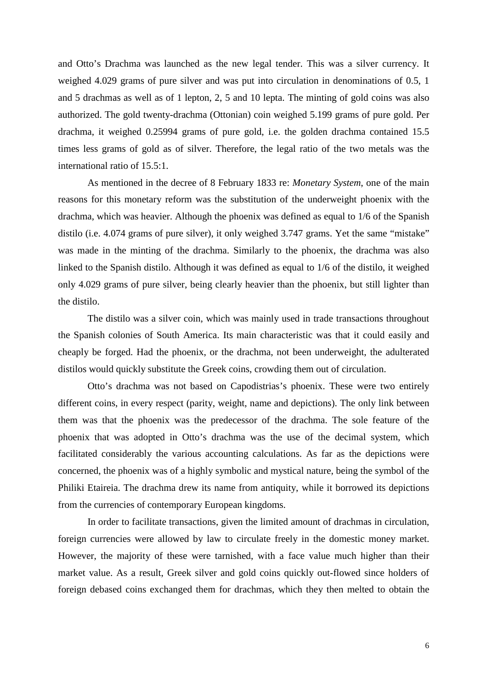and Otto's Drachma was launched as the new legal tender. This was a silver currency. It weighed 4.029 grams of pure silver and was put into circulation in denominations of 0.5, 1 and 5 drachmas as well as of 1 lepton, 2, 5 and 10 lepta. The minting of gold coins was also authorized. The gold twenty-drachma (Ottonian) coin weighed 5.199 grams of pure gold. Per drachma, it weighed 0.25994 grams of pure gold, i.e. the golden drachma contained 15.5 times less grams of gold as of silver. Therefore, the legal ratio of the two metals was the international ratio of 15.5:1.

As mentioned in the decree of 8 February 1833 re: *Monetary System*, one of the main reasons for this monetary reform was the substitution of the underweight phoenix with the drachma, which was heavier. Although the phoenix was defined as equal to 1/6 of the Spanish distilo (i.e. 4.074 grams of pure silver), it only weighed 3.747 grams. Yet the same "mistake" was made in the minting of the drachma. Similarly to the phoenix, the drachma was also linked to the Spanish distilo. Although it was defined as equal to 1/6 of the distilo, it weighed only 4.029 grams of pure silver, being clearly heavier than the phoenix, but still lighter than the distilo.

The distilo was a silver coin, which was mainly used in trade transactions throughout the Spanish colonies of South America. Its main characteristic was that it could easily and cheaply be forged. Had the phoenix, or the drachma, not been underweight, the adulterated distilos would quickly substitute the Greek coins, crowding them out of circulation.

Otto's drachma was not based on Capodistrias's phoenix. These were two entirely different coins, in every respect (parity, weight, name and depictions). The only link between them was that the phoenix was the predecessor of the drachma. The sole feature of the phoenix that was adopted in Otto's drachma was the use of the decimal system, which facilitated considerably the various accounting calculations. As far as the depictions were concerned, the phoenix was of a highly symbolic and mystical nature, being the symbol of the Philiki Etaireia. The drachma drew its name from antiquity, while it borrowed its depictions from the currencies of contemporary European kingdoms.

In order to facilitate transactions, given the limited amount of drachmas in circulation, foreign currencies were allowed by law to circulate freely in the domestic money market. However, the majority of these were tarnished, with a face value much higher than their market value. As a result, Greek silver and gold coins quickly out-flowed since holders of foreign debased coins exchanged them for drachmas, which they then melted to obtain the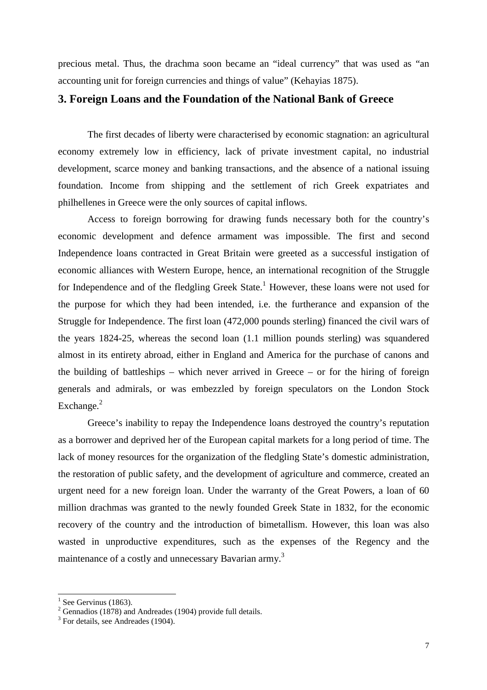precious metal. Thus, the drachma soon became an "ideal currency" that was used as "an accounting unit for foreign currencies and things of value" (Kehayias 1875).

#### **3. Foreign Loans and the Foundation of the National Bank of Greece**

The first decades of liberty were characterised by economic stagnation: an agricultural economy extremely low in efficiency, lack of private investment capital, no industrial development, scarce money and banking transactions, and the absence of a national issuing foundation. Income from shipping and the settlement of rich Greek expatriates and philhellenes in Greece were the only sources of capital inflows.

Access to foreign borrowing for drawing funds necessary both for the country's economic development and defence armament was impossible. The first and second Independence loans contracted in Great Britain were greeted as a successful instigation of economic alliances with Western Europe, hence, an international recognition of the Struggle for Independence and of the fledgling Greek State.<sup>1</sup> However, these loans were not used for the purpose for which they had been intended, i.e. the furtherance and expansion of the Struggle for Independence. The first loan (472,000 pounds sterling) financed the civil wars of the years 1824-25, whereas the second loan (1.1 million pounds sterling) was squandered almost in its entirety abroad, either in England and America for the purchase of canons and the building of battleships – which never arrived in Greece – or for the hiring of foreign generals and admirals, or was embezzled by foreign speculators on the London Stock Exchange. $^{2}$ 

Greece's inability to repay the Independence loans destroyed the country's reputation as a borrower and deprived her of the European capital markets for a long period of time. The lack of money resources for the organization of the fledgling State's domestic administration, the restoration of public safety, and the development of agriculture and commerce, created an urgent need for a new foreign loan. Under the warranty of the Great Powers, a loan of 60 million drachmas was granted to the newly founded Greek State in 1832, for the economic recovery of the country and the introduction of bimetallism. However, this loan was also wasted in unproductive expenditures, such as the expenses of the Regency and the maintenance of a costly and unnecessary Bavarian army.<sup>3</sup>

<sup>&</sup>lt;sup>1</sup> See Gervinus (1863).<br><sup>2</sup> Gennadios (1878) and Andreades (1904) provide full details.

<sup>&</sup>lt;sup>3</sup> For details, see Andreades (1904).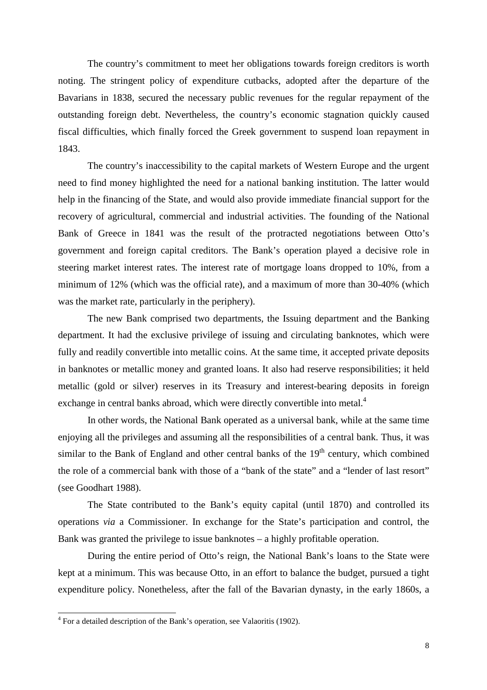The country's commitment to meet her obligations towards foreign creditors is worth noting. The stringent policy of expenditure cutbacks, adopted after the departure of the Bavarians in 1838, secured the necessary public revenues for the regular repayment of the outstanding foreign debt. Nevertheless, the country's economic stagnation quickly caused fiscal difficulties, which finally forced the Greek government to suspend loan repayment in 1843.

The country's inaccessibility to the capital markets of Western Europe and the urgent need to find money highlighted the need for a national banking institution. The latter would help in the financing of the State, and would also provide immediate financial support for the recovery of agricultural, commercial and industrial activities. The founding of the National Bank of Greece in 1841 was the result of the protracted negotiations between Otto's government and foreign capital creditors. The Bank's operation played a decisive role in steering market interest rates. The interest rate of mortgage loans dropped to 10%, from a minimum of 12% (which was the official rate), and a maximum of more than 30-40% (which was the market rate, particularly in the periphery).

The new Bank comprised two departments, the Issuing department and the Banking department. It had the exclusive privilege of issuing and circulating banknotes, which were fully and readily convertible into metallic coins. At the same time, it accepted private deposits in banknotes or metallic money and granted loans. It also had reserve responsibilities; it held metallic (gold or silver) reserves in its Treasury and interest-bearing deposits in foreign exchange in central banks abroad, which were directly convertible into metal.<sup>4</sup>

In other words, the National Bank operated as a universal bank, while at the same time enjoying all the privileges and assuming all the responsibilities of a central bank. Thus, it was similar to the Bank of England and other central banks of the  $19<sup>th</sup>$  century, which combined the role of a commercial bank with those of a "bank of the state" and a "lender of last resort" (see Goodhart 1988).

The State contributed to the Bank's equity capital (until 1870) and controlled its operations *via* a Commissioner. In exchange for the State's participation and control, the Bank was granted the privilege to issue banknotes – a highly profitable operation.

During the entire period of Otto's reign, the National Bank's loans to the State were kept at a minimum. This was because Otto, in an effort to balance the budget, pursued a tight expenditure policy. Nonetheless, after the fall of the Bavarian dynasty, in the early 1860s, a

 4 For a detailed description of the Bank's operation, see Valaoritis (1902).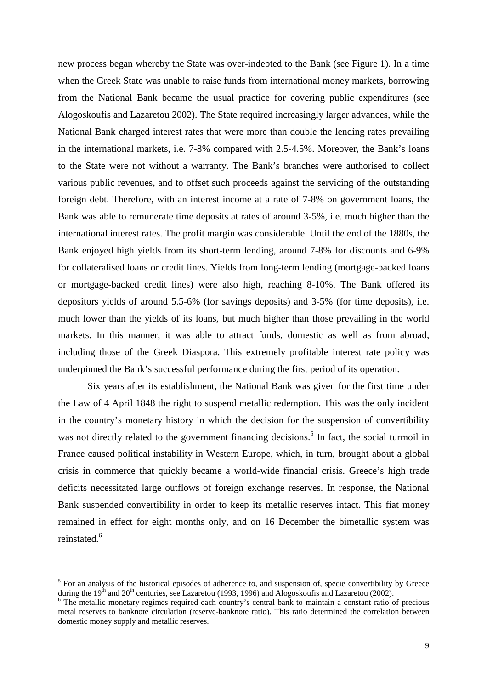new process began whereby the State was over-indebted to the Bank (see Figure 1). In a time when the Greek State was unable to raise funds from international money markets, borrowing from the National Bank became the usual practice for covering public expenditures (see Alogoskoufis and Lazaretou 2002). The State required increasingly larger advances, while the National Bank charged interest rates that were more than double the lending rates prevailing in the international markets, i.e. 7-8% compared with 2.5-4.5%. Moreover, the Bank's loans to the State were not without a warranty. The Bank's branches were authorised to collect various public revenues, and to offset such proceeds against the servicing of the outstanding foreign debt. Therefore, with an interest income at a rate of 7-8% on government loans, the Bank was able to remunerate time deposits at rates of around 3-5%, i.e. much higher than the international interest rates. The profit margin was considerable. Until the end of the 1880s, the Bank enjoyed high yields from its short-term lending, around 7-8% for discounts and 6-9% for collateralised loans or credit lines. Yields from long-term lending (mortgage-backed loans or mortgage-backed credit lines) were also high, reaching 8-10%. The Bank offered its depositors yields of around 5.5-6% (for savings deposits) and 3-5% (for time deposits), i.e. much lower than the yields of its loans, but much higher than those prevailing in the world markets. In this manner, it was able to attract funds, domestic as well as from abroad, including those of the Greek Diaspora. This extremely profitable interest rate policy was underpinned the Bank's successful performance during the first period of its operation.

Six years after its establishment, the National Bank was given for the first time under the Law of 4 April 1848 the right to suspend metallic redemption. This was the only incident in the country's monetary history in which the decision for the suspension of convertibility was not directly related to the government financing decisions.<sup>5</sup> In fact, the social turmoil in France caused political instability in Western Europe, which, in turn, brought about a global crisis in commerce that quickly became a world-wide financial crisis. Greece's high trade deficits necessitated large outflows of foreign exchange reserves. In response, the National Bank suspended convertibility in order to keep its metallic reserves intact. This fiat money remained in effect for eight months only, and on 16 December the bimetallic system was reinstated.<sup>6</sup>

<sup>&</sup>lt;sup>5</sup> For an analysis of the historical episodes of adherence to, and suspension of, specie convertibility by Greece during the 19<sup>th</sup> and 20<sup>th</sup> centuries, see Lazaretou (1993, 1996) and Alogoskoufis and Lazaretou (2002).

<sup>&</sup>lt;sup>6</sup> The metallic monetary regimes required each country's central bank to maintain a constant ratio of precious metal reserves to banknote circulation (reserve-banknote ratio). This ratio determined the correlation between domestic money supply and metallic reserves.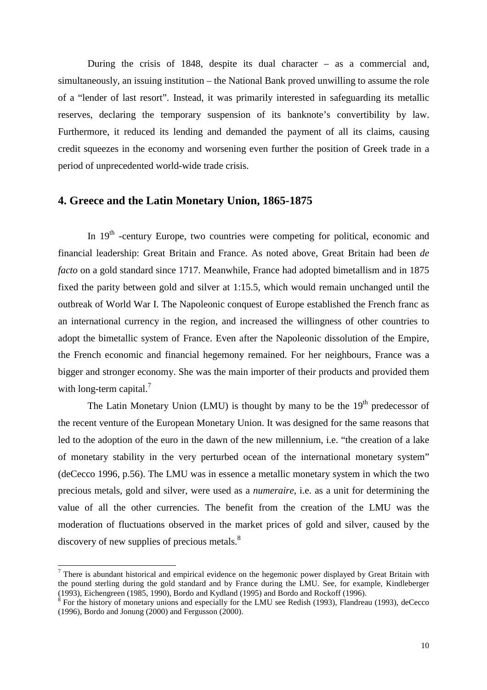During the crisis of 1848, despite its dual character – as a commercial and, simultaneously, an issuing institution – the National Bank proved unwilling to assume the role of a "lender of last resort". Instead, it was primarily interested in safeguarding its metallic reserves, declaring the temporary suspension of its banknote's convertibility by law. Furthermore, it reduced its lending and demanded the payment of all its claims, causing credit squeezes in the economy and worsening even further the position of Greek trade in a period of unprecedented world-wide trade crisis.

#### **4. Greece and the Latin Monetary Union, 1865-1875**

In  $19<sup>th</sup>$  -century Europe, two countries were competing for political, economic and financial leadership: Great Britain and France. As noted above, Great Britain had been *de facto* on a gold standard since 1717. Meanwhile, France had adopted bimetallism and in 1875 fixed the parity between gold and silver at 1:15.5, which would remain unchanged until the outbreak of World War I. The Napoleonic conquest of Europe established the French franc as an international currency in the region, and increased the willingness of other countries to adopt the bimetallic system of France. Even after the Napoleonic dissolution of the Empire, the French economic and financial hegemony remained. For her neighbours, France was a bigger and stronger economy. She was the main importer of their products and provided them with long-term capital. $<sup>7</sup>$ </sup>

The Latin Monetary Union (LMU) is thought by many to be the  $19<sup>th</sup>$  predecessor of the recent venture of the European Monetary Union. It was designed for the same reasons that led to the adoption of the euro in the dawn of the new millennium, i.e. "the creation of a lake of monetary stability in the very perturbed ocean of the international monetary system" (deCecco 1996, p.56). The LMU was in essence a metallic monetary system in which the two precious metals, gold and silver, were used as a *numeraire*, i.e. as a unit for determining the value of all the other currencies. The benefit from the creation of the LMU was the moderation of fluctuations observed in the market prices of gold and silver, caused by the discovery of new supplies of precious metals.<sup>8</sup>

 $\overline{a}$ 

 $<sup>7</sup>$  There is abundant historical and empirical evidence on the hegemonic power displayed by Great Britain with</sup> the pound sterling during the gold standard and by France during the LMU. See, for example, Kindleberger (1993), Eichengreen (1985, 1990), Bordo and Kydland (1995) and Bordo and Rockoff (1996).

 $8$  For the history of monetary unions and especially for the LMU see Redish (1993), Flandreau (1993), deCecco (1996), Bordo and Jonung (2000) and Fergusson (2000).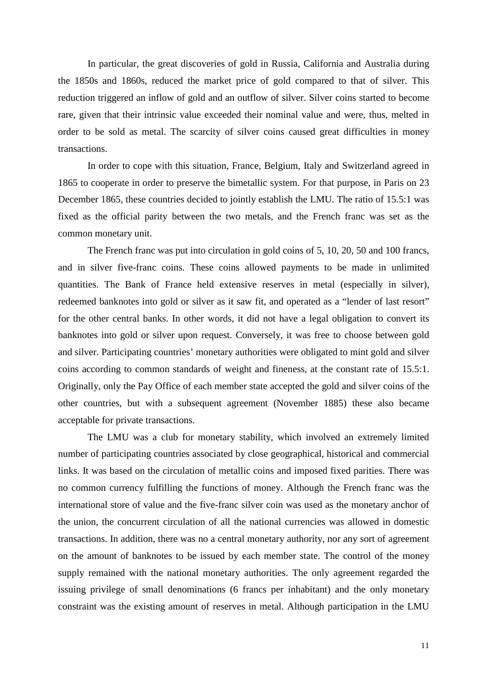In particular, the great discoveries of gold in Russia, California and Australia during the 1850s and 1860s, reduced the market price of gold compared to that of silver. This reduction triggered an inflow of gold and an outflow of silver. Silver coins started to become rare, given that their intrinsic value exceeded their nominal value and were, thus, melted in order to be sold as metal. The scarcity of silver coins caused great difficulties in money transactions.

In order to cope with this situation, France, Belgium, Italy and Switzerland agreed in 1865 to cooperate in order to preserve the bimetallic system. For that purpose, in Paris on 23 December 1865, these countries decided to jointly establish the LMU. The ratio of 15.5:1 was fixed as the official parity between the two metals, and the French franc was set as the common monetary unit.

The French franc was put into circulation in gold coins of 5, 10, 20, 50 and 100 francs, and in silver five-franc coins. These coins allowed payments to be made in unlimited quantities. The Bank of France held extensive reserves in metal (especially in silver), redeemed banknotes into gold or silver as it saw fit, and operated as a "lender of last resort" for the other central banks. In other words, it did not have a legal obligation to convert its banknotes into gold or silver upon request. Conversely, it was free to choose between gold and silver. Participating countries' monetary authorities were obligated to mint gold and silver coins according to common standards of weight and fineness, at the constant rate of 15.5:1. Originally, only the Pay Office of each member state accepted the gold and silver coins of the other countries, but with a subsequent agreement (November 1885) these also became acceptable for private transactions.

The LMU was a club for monetary stability, which involved an extremely limited number of participating countries associated by close geographical, historical and commercial links. It was based on the circulation of metallic coins and imposed fixed parities. There was no common currency fulfilling the functions of money. Although the French franc was the international store of value and the five-franc silver coin was used as the monetary anchor of the union, the concurrent circulation of all the national currencies was allowed in domestic transactions. In addition, there was no a central monetary authority, nor any sort of agreement on the amount of banknotes to be issued by each member state. The control of the money supply remained with the national monetary authorities. The only agreement regarded the issuing privilege of small denominations (6 francs per inhabitant) and the only monetary constraint was the existing amount of reserves in metal. Although participation in the LMU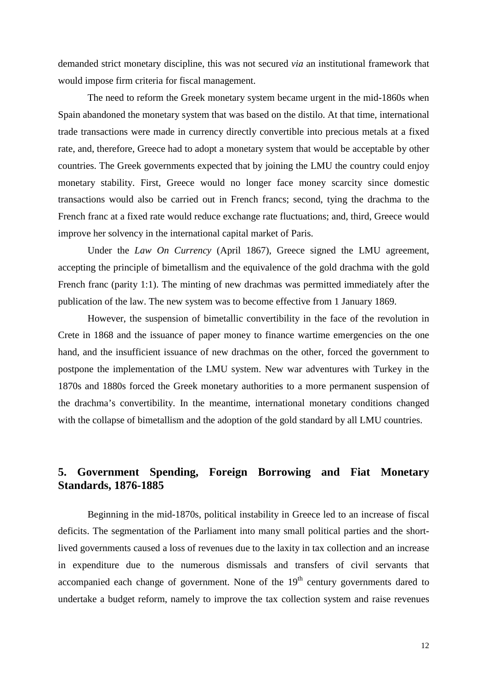demanded strict monetary discipline, this was not secured *via* an institutional framework that would impose firm criteria for fiscal management.

The need to reform the Greek monetary system became urgent in the mid-1860s when Spain abandoned the monetary system that was based on the distilo. At that time, international trade transactions were made in currency directly convertible into precious metals at a fixed rate, and, therefore, Greece had to adopt a monetary system that would be acceptable by other countries. The Greek governments expected that by joining the LMU the country could enjoy monetary stability. First, Greece would no longer face money scarcity since domestic transactions would also be carried out in French francs; second, tying the drachma to the French franc at a fixed rate would reduce exchange rate fluctuations; and, third, Greece would improve her solvency in the international capital market of Paris.

Under the *Law On Currency* (April 1867), Greece signed the LMU agreement, accepting the principle of bimetallism and the equivalence of the gold drachma with the gold French franc (parity 1:1). The minting of new drachmas was permitted immediately after the publication of the law. The new system was to become effective from 1 January 1869.

However, the suspension of bimetallic convertibility in the face of the revolution in Crete in 1868 and the issuance of paper money to finance wartime emergencies on the one hand, and the insufficient issuance of new drachmas on the other, forced the government to postpone the implementation of the LMU system. New war adventures with Turkey in the 1870s and 1880s forced the Greek monetary authorities to a more permanent suspension of the drachma's convertibility. In the meantime, international monetary conditions changed with the collapse of bimetallism and the adoption of the gold standard by all LMU countries.

## **5. Government Spending, Foreign Borrowing and Fiat Monetary Standards, 1876-1885**

Beginning in the mid-1870s, political instability in Greece led to an increase of fiscal deficits. The segmentation of the Parliament into many small political parties and the shortlived governments caused a loss of revenues due to the laxity in tax collection and an increase in expenditure due to the numerous dismissals and transfers of civil servants that accompanied each change of government. None of the  $19<sup>th</sup>$  century governments dared to undertake a budget reform, namely to improve the tax collection system and raise revenues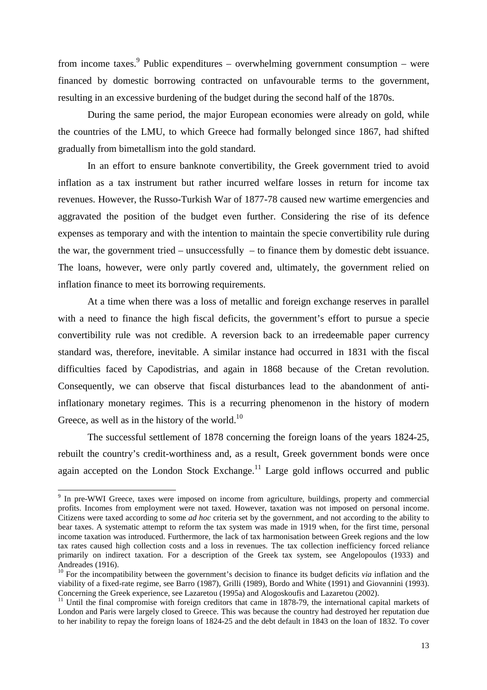from income taxes.<sup>9</sup> Public expenditures – overwhelming government consumption – were financed by domestic borrowing contracted on unfavourable terms to the government, resulting in an excessive burdening of the budget during the second half of the 1870s.

During the same period, the major European economies were already on gold, while the countries of the LMU, to which Greece had formally belonged since 1867, had shifted gradually from bimetallism into the gold standard.

In an effort to ensure banknote convertibility, the Greek government tried to avoid inflation as a tax instrument but rather incurred welfare losses in return for income tax revenues. However, the Russo-Turkish War of 1877-78 caused new wartime emergencies and aggravated the position of the budget even further. Considering the rise of its defence expenses as temporary and with the intention to maintain the specie convertibility rule during the war, the government tried – unsuccessfully – to finance them by domestic debt issuance. The loans, however, were only partly covered and, ultimately, the government relied on inflation finance to meet its borrowing requirements.

At a time when there was a loss of metallic and foreign exchange reserves in parallel with a need to finance the high fiscal deficits, the government's effort to pursue a specie convertibility rule was not credible. A reversion back to an irredeemable paper currency standard was, therefore, inevitable. A similar instance had occurred in 1831 with the fiscal difficulties faced by Capodistrias, and again in 1868 because of the Cretan revolution. Consequently, we can observe that fiscal disturbances lead to the abandonment of antiinflationary monetary regimes. This is a recurring phenomenon in the history of modern Greece, as well as in the history of the world.<sup>10</sup>

The successful settlement of 1878 concerning the foreign loans of the years 1824-25, rebuilt the country's credit-worthiness and, as a result, Greek government bonds were once again accepted on the London Stock Exchange.<sup>11</sup> Large gold inflows occurred and public

<sup>&</sup>lt;sup>9</sup> In pre-WWI Greece, taxes were imposed on income from agriculture, buildings, property and commercial profits. Incomes from employment were not taxed. However, taxation was not imposed on personal income. Citizens were taxed according to some *ad hoc* criteria set by the government, and not according to the ability to bear taxes. A systematic attempt to reform the tax system was made in 1919 when, for the first time, personal income taxation was introduced. Furthermore, the lack of tax harmonisation between Greek regions and the low tax rates caused high collection costs and a loss in revenues. The tax collection inefficiency forced reliance primarily on indirect taxation. For a description of the Greek tax system, see Angelopoulos (1933) and Andreades (1916).

<sup>&</sup>lt;sup>10</sup> For the incompatibility between the government's decision to finance its budget deficits *via* inflation and the viability of a fixed-rate regime, see Barro (1987), Grilli (1989), Bordo and White (1991) and Giovannini (1993). Concerning the Greek experience, see Lazaretou (1995a) and Alogoskoufis and Lazaretou (2002).

<sup>&</sup>lt;sup>11</sup> Until the final compromise with foreign creditors that came in 1878-79, the international capital markets of London and Paris were largely closed to Greece. This was because the country had destroyed her reputation due to her inability to repay the foreign loans of 1824-25 and the debt default in 1843 on the loan of 1832. To cover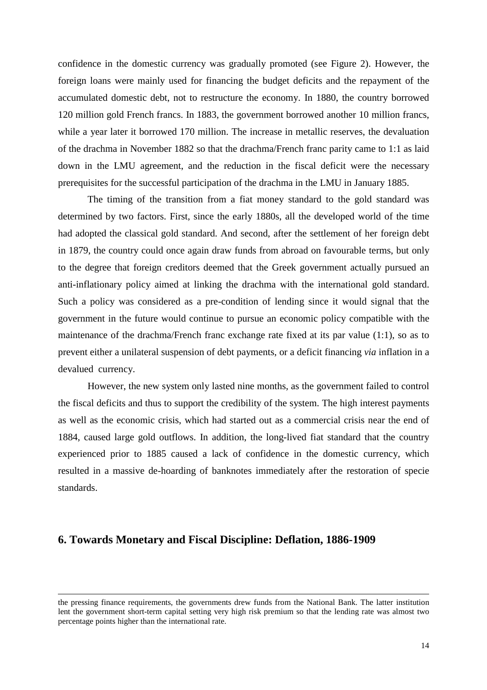confidence in the domestic currency was gradually promoted (see Figure 2). However, the foreign loans were mainly used for financing the budget deficits and the repayment of the accumulated domestic debt, not to restructure the economy. In 1880, the country borrowed 120 million gold French francs. In 1883, the government borrowed another 10 million francs, while a year later it borrowed 170 million. The increase in metallic reserves, the devaluation of the drachma in November 1882 so that the drachma/French franc parity came to 1:1 as laid down in the LMU agreement, and the reduction in the fiscal deficit were the necessary prerequisites for the successful participation of the drachma in the LMU in January 1885.

The timing of the transition from a fiat money standard to the gold standard was determined by two factors. First, since the early 1880s, all the developed world of the time had adopted the classical gold standard. And second, after the settlement of her foreign debt in 1879, the country could once again draw funds from abroad on favourable terms, but only to the degree that foreign creditors deemed that the Greek government actually pursued an anti-inflationary policy aimed at linking the drachma with the international gold standard. Such a policy was considered as a pre-condition of lending since it would signal that the government in the future would continue to pursue an economic policy compatible with the maintenance of the drachma/French franc exchange rate fixed at its par value (1:1), so as to prevent either a unilateral suspension of debt payments, or a deficit financing *via* inflation in a devalued currency.

However, the new system only lasted nine months, as the government failed to control the fiscal deficits and thus to support the credibility of the system. The high interest payments as well as the economic crisis, which had started out as a commercial crisis near the end of 1884, caused large gold outflows. In addition, the long-lived fiat standard that the country experienced prior to 1885 caused a lack of confidence in the domestic currency, which resulted in a massive de-hoarding of banknotes immediately after the restoration of specie standards.

#### **6. Towards Monetary and Fiscal Discipline: Deflation, 1886-1909**

 $\overline{\phantom{a}}$ 

the pressing finance requirements, the governments drew funds from the National Bank. The latter institution lent the government short-term capital setting very high risk premium so that the lending rate was almost two percentage points higher than the international rate.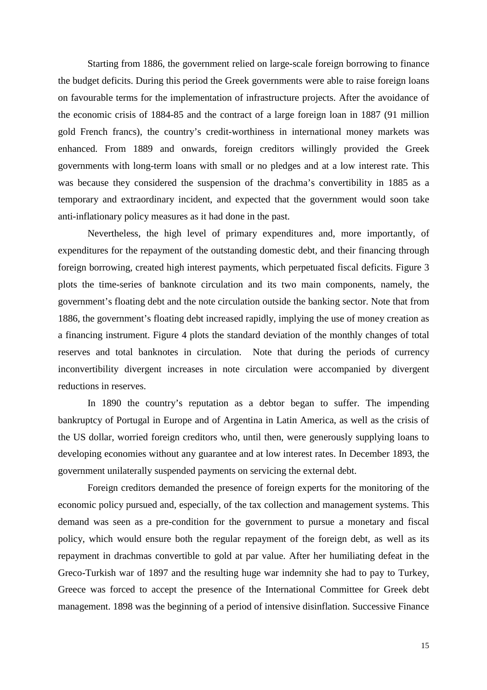Starting from 1886, the government relied on large-scale foreign borrowing to finance the budget deficits. During this period the Greek governments were able to raise foreign loans on favourable terms for the implementation of infrastructure projects. After the avoidance of the economic crisis of 1884-85 and the contract of a large foreign loan in 1887 (91 million gold French francs), the country's credit-worthiness in international money markets was enhanced. From 1889 and onwards, foreign creditors willingly provided the Greek governments with long-term loans with small or no pledges and at a low interest rate. This was because they considered the suspension of the drachma's convertibility in 1885 as a temporary and extraordinary incident, and expected that the government would soon take anti-inflationary policy measures as it had done in the past.

Nevertheless, the high level of primary expenditures and, more importantly, of expenditures for the repayment of the outstanding domestic debt, and their financing through foreign borrowing, created high interest payments, which perpetuated fiscal deficits. Figure 3 plots the time-series of banknote circulation and its two main components, namely, the government's floating debt and the note circulation outside the banking sector. Note that from 1886, the government's floating debt increased rapidly, implying the use of money creation as a financing instrument. Figure 4 plots the standard deviation of the monthly changes of total reserves and total banknotes in circulation. Note that during the periods of currency inconvertibility divergent increases in note circulation were accompanied by divergent reductions in reserves.

In 1890 the country's reputation as a debtor began to suffer. The impending bankruptcy of Portugal in Europe and of Argentina in Latin America, as well as the crisis of the US dollar, worried foreign creditors who, until then, were generously supplying loans to developing economies without any guarantee and at low interest rates. In December 1893, the government unilaterally suspended payments on servicing the external debt.

Foreign creditors demanded the presence of foreign experts for the monitoring of the economic policy pursued and, especially, of the tax collection and management systems. This demand was seen as a pre-condition for the government to pursue a monetary and fiscal policy, which would ensure both the regular repayment of the foreign debt, as well as its repayment in drachmas convertible to gold at par value. After her humiliating defeat in the Greco-Turkish war of 1897 and the resulting huge war indemnity she had to pay to Turkey, Greece was forced to accept the presence of the International Committee for Greek debt management. 1898 was the beginning of a period of intensive disinflation. Successive Finance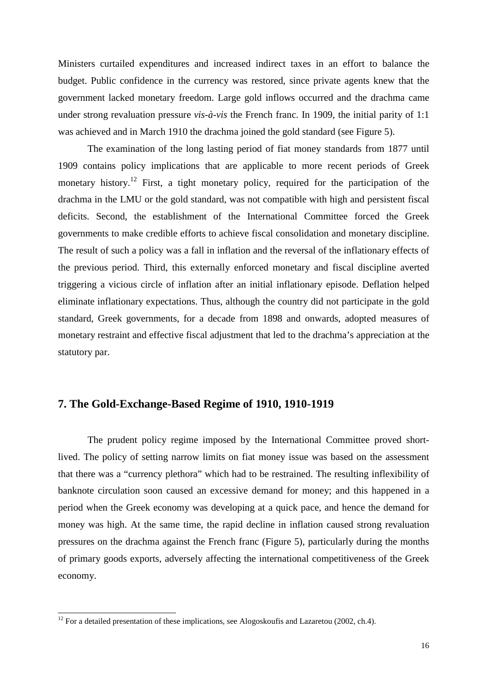Ministers curtailed expenditures and increased indirect taxes in an effort to balance the budget. Public confidence in the currency was restored, since private agents knew that the government lacked monetary freedom. Large gold inflows occurred and the drachma came under strong revaluation pressure *vis-à-vis* the French franc. In 1909, the initial parity of 1:1 was achieved and in March 1910 the drachma joined the gold standard (see Figure 5).

The examination of the long lasting period of fiat money standards from 1877 until 1909 contains policy implications that are applicable to more recent periods of Greek monetary history.<sup>12</sup> First, a tight monetary policy, required for the participation of the drachma in the LMU or the gold standard, was not compatible with high and persistent fiscal deficits. Second, the establishment of the International Committee forced the Greek governments to make credible efforts to achieve fiscal consolidation and monetary discipline. The result of such a policy was a fall in inflation and the reversal of the inflationary effects of the previous period. Third, this externally enforced monetary and fiscal discipline averted triggering a vicious circle of inflation after an initial inflationary episode. Deflation helped eliminate inflationary expectations. Thus, although the country did not participate in the gold standard, Greek governments, for a decade from 1898 and onwards, adopted measures of monetary restraint and effective fiscal adjustment that led to the drachma's appreciation at the statutory par.

#### **7. The Gold-Exchange-Based Regime of 1910, 1910-1919**

The prudent policy regime imposed by the International Committee proved shortlived. The policy of setting narrow limits on fiat money issue was based on the assessment that there was a "currency plethora" which had to be restrained. The resulting inflexibility of banknote circulation soon caused an excessive demand for money; and this happened in a period when the Greek economy was developing at a quick pace, and hence the demand for money was high. At the same time, the rapid decline in inflation caused strong revaluation pressures on the drachma against the French franc (Figure 5), particularly during the months of primary goods exports, adversely affecting the international competitiveness of the Greek economy.

l

 $12$  For a detailed presentation of these implications, see Alogoskoufis and Lazaretou (2002, ch.4).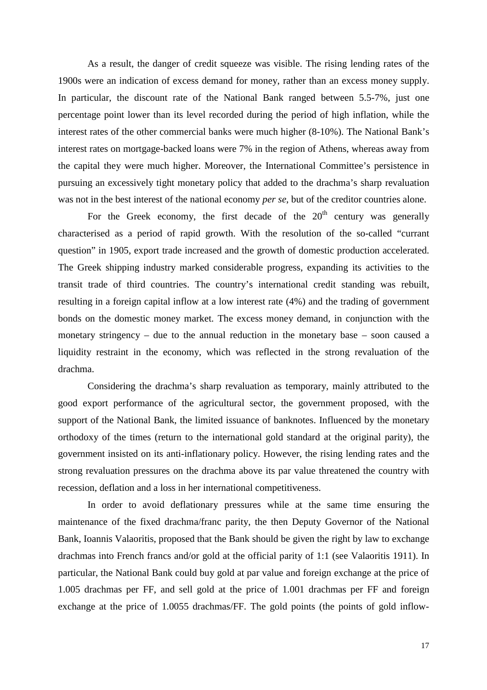As a result, the danger of credit squeeze was visible. The rising lending rates of the 1900s were an indication of excess demand for money, rather than an excess money supply. In particular, the discount rate of the National Bank ranged between 5.5-7%, just one percentage point lower than its level recorded during the period of high inflation, while the interest rates of the other commercial banks were much higher (8-10%). The National Bank's interest rates on mortgage-backed loans were 7% in the region of Athens, whereas away from the capital they were much higher. Moreover, the International Committee's persistence in pursuing an excessively tight monetary policy that added to the drachma's sharp revaluation was not in the best interest of the national economy *per se*, but of the creditor countries alone.

For the Greek economy, the first decade of the  $20<sup>th</sup>$  century was generally characterised as a period of rapid growth. With the resolution of the so-called "currant question" in 1905, export trade increased and the growth of domestic production accelerated. The Greek shipping industry marked considerable progress, expanding its activities to the transit trade of third countries. The country's international credit standing was rebuilt, resulting in a foreign capital inflow at a low interest rate (4%) and the trading of government bonds on the domestic money market. The excess money demand, in conjunction with the monetary stringency – due to the annual reduction in the monetary base – soon caused a liquidity restraint in the economy, which was reflected in the strong revaluation of the drachma.

Considering the drachma's sharp revaluation as temporary, mainly attributed to the good export performance of the agricultural sector, the government proposed, with the support of the National Bank, the limited issuance of banknotes. Influenced by the monetary orthodoxy of the times (return to the international gold standard at the original parity), the government insisted on its anti-inflationary policy. However, the rising lending rates and the strong revaluation pressures on the drachma above its par value threatened the country with recession, deflation and a loss in her international competitiveness.

In order to avoid deflationary pressures while at the same time ensuring the maintenance of the fixed drachma/franc parity, the then Deputy Governor of the National Bank, Ioannis Valaoritis, proposed that the Bank should be given the right by law to exchange drachmas into French francs and/or gold at the official parity of 1:1 (see Valaoritis 1911). In particular, the National Bank could buy gold at par value and foreign exchange at the price of 1.005 drachmas per FF, and sell gold at the price of 1.001 drachmas per FF and foreign exchange at the price of 1.0055 drachmas/FF. The gold points (the points of gold inflow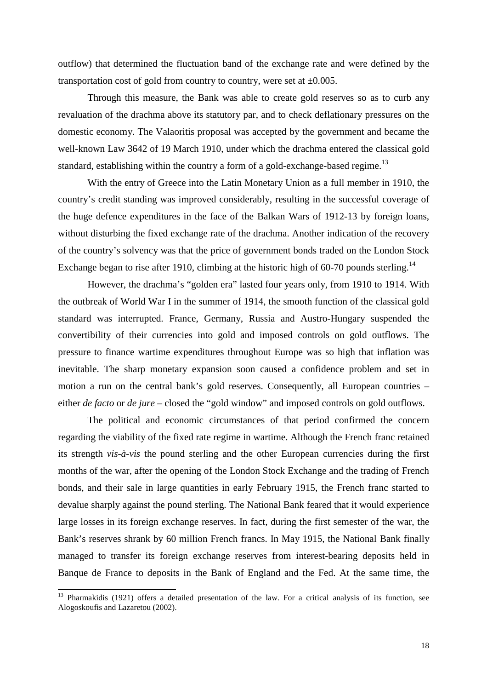outflow) that determined the fluctuation band of the exchange rate and were defined by the transportation cost of gold from country to country, were set at  $\pm 0.005$ .

Through this measure, the Bank was able to create gold reserves so as to curb any revaluation of the drachma above its statutory par, and to check deflationary pressures on the domestic economy. The Valaoritis proposal was accepted by the government and became the well-known Law 3642 of 19 March 1910, under which the drachma entered the classical gold standard, establishing within the country a form of a gold-exchange-based regime.<sup>13</sup>

With the entry of Greece into the Latin Monetary Union as a full member in 1910, the country's credit standing was improved considerably, resulting in the successful coverage of the huge defence expenditures in the face of the Balkan Wars of 1912-13 by foreign loans, without disturbing the fixed exchange rate of the drachma. Another indication of the recovery of the country's solvency was that the price of government bonds traded on the London Stock Exchange began to rise after 1910, climbing at the historic high of  $60-70$  pounds sterling.<sup>14</sup>

However, the drachma's "golden era" lasted four years only, from 1910 to 1914. With the outbreak of World War I in the summer of 1914, the smooth function of the classical gold standard was interrupted. France, Germany, Russia and Austro-Hungary suspended the convertibility of their currencies into gold and imposed controls on gold outflows. The pressure to finance wartime expenditures throughout Europe was so high that inflation was inevitable. The sharp monetary expansion soon caused a confidence problem and set in motion a run on the central bank's gold reserves. Consequently, all European countries – either *de facto* or *de jure* – closed the "gold window" and imposed controls on gold outflows.

The political and economic circumstances of that period confirmed the concern regarding the viability of the fixed rate regime in wartime. Although the French franc retained its strength *vis-à-vis* the pound sterling and the other European currencies during the first months of the war, after the opening of the London Stock Exchange and the trading of French bonds, and their sale in large quantities in early February 1915, the French franc started to devalue sharply against the pound sterling. The National Bank feared that it would experience large losses in its foreign exchange reserves. In fact, during the first semester of the war, the Bank's reserves shrank by 60 million French francs. In May 1915, the National Bank finally managed to transfer its foreign exchange reserves from interest-bearing deposits held in Banque de France to deposits in the Bank of England and the Fed. At the same time, the

l

<sup>&</sup>lt;sup>13</sup> Pharmakidis (1921) offers a detailed presentation of the law. For a critical analysis of its function, see Alogoskoufis and Lazaretou (2002).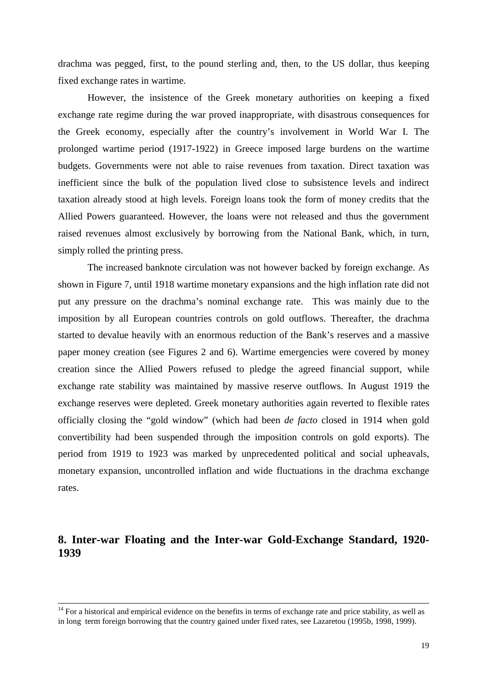drachma was pegged, first, to the pound sterling and, then, to the US dollar, thus keeping fixed exchange rates in wartime.

However, the insistence of the Greek monetary authorities on keeping a fixed exchange rate regime during the war proved inappropriate, with disastrous consequences for the Greek economy, especially after the country's involvement in World War I. The prolonged wartime period (1917-1922) in Greece imposed large burdens on the wartime budgets. Governments were not able to raise revenues from taxation. Direct taxation was inefficient since the bulk of the population lived close to subsistence levels and indirect taxation already stood at high levels. Foreign loans took the form of money credits that the Allied Powers guaranteed. However, the loans were not released and thus the government raised revenues almost exclusively by borrowing from the National Bank, which, in turn, simply rolled the printing press.

The increased banknote circulation was not however backed by foreign exchange. As shown in Figure 7, until 1918 wartime monetary expansions and the high inflation rate did not put any pressure on the drachma's nominal exchange rate. This was mainly due to the imposition by all European countries controls on gold outflows. Thereafter, the drachma started to devalue heavily with an enormous reduction of the Bank's reserves and a massive paper money creation (see Figures 2 and 6). Wartime emergencies were covered by money creation since the Allied Powers refused to pledge the agreed financial support, while exchange rate stability was maintained by massive reserve outflows. In August 1919 the exchange reserves were depleted. Greek monetary authorities again reverted to flexible rates officially closing the "gold window" (which had been *de facto* closed in 1914 when gold convertibility had been suspended through the imposition controls on gold exports). The period from 1919 to 1923 was marked by unprecedented political and social upheavals, monetary expansion, uncontrolled inflation and wide fluctuations in the drachma exchange rates.

## **8. Inter-war Floating and the Inter-war Gold-Exchange Standard, 1920- 1939**

 $14$  For a historical and empirical evidence on the benefits in terms of exchange rate and price stability, as well as in long term foreign borrowing that the country gained under fixed rates, see Lazaretou (1995b, 1998, 1999).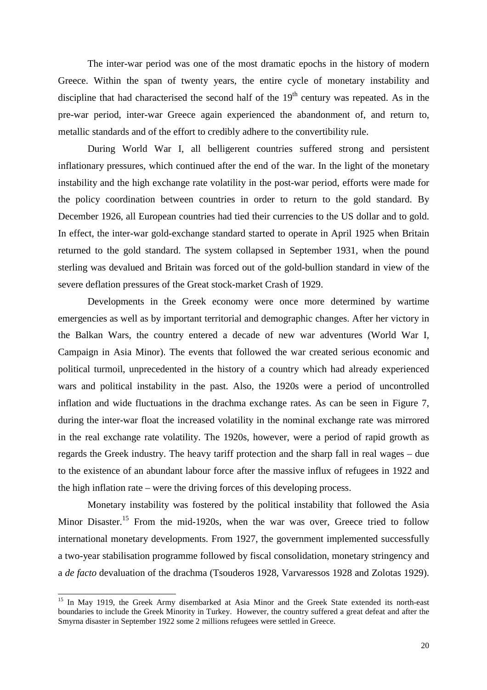The inter-war period was one of the most dramatic epochs in the history of modern Greece. Within the span of twenty years, the entire cycle of monetary instability and discipline that had characterised the second half of the  $19<sup>th</sup>$  century was repeated. As in the pre-war period, inter-war Greece again experienced the abandonment of, and return to, metallic standards and of the effort to credibly adhere to the convertibility rule.

During World War I, all belligerent countries suffered strong and persistent inflationary pressures, which continued after the end of the war. In the light of the monetary instability and the high exchange rate volatility in the post-war period, efforts were made for the policy coordination between countries in order to return to the gold standard. By December 1926, all European countries had tied their currencies to the US dollar and to gold. In effect, the inter-war gold-exchange standard started to operate in April 1925 when Britain returned to the gold standard. The system collapsed in September 1931, when the pound sterling was devalued and Britain was forced out of the gold-bullion standard in view of the severe deflation pressures of the Great stock-market Crash of 1929.

Developments in the Greek economy were once more determined by wartime emergencies as well as by important territorial and demographic changes. After her victory in the Balkan Wars, the country entered a decade of new war adventures (World War I, Campaign in Asia Minor). The events that followed the war created serious economic and political turmoil, unprecedented in the history of a country which had already experienced wars and political instability in the past. Also, the 1920s were a period of uncontrolled inflation and wide fluctuations in the drachma exchange rates. As can be seen in Figure 7, during the inter-war float the increased volatility in the nominal exchange rate was mirrored in the real exchange rate volatility. The 1920s, however, were a period of rapid growth as regards the Greek industry. The heavy tariff protection and the sharp fall in real wages – due to the existence of an abundant labour force after the massive influx of refugees in 1922 and the high inflation rate – were the driving forces of this developing process.

Monetary instability was fostered by the political instability that followed the Asia Minor Disaster.<sup>15</sup> From the mid-1920s, when the war was over, Greece tried to follow international monetary developments. From 1927, the government implemented successfully a two-year stabilisation programme followed by fiscal consolidation, monetary stringency and a *de facto* devaluation of the drachma (Tsouderos 1928, Varvaressos 1928 and Zolotas 1929).

 $\overline{\phantom{a}}$ 

<sup>&</sup>lt;sup>15</sup> In May 1919, the Greek Army disembarked at Asia Minor and the Greek State extended its north-east boundaries to include the Greek Minority in Turkey. However, the country suffered a great defeat and after the Smyrna disaster in September 1922 some 2 millions refugees were settled in Greece.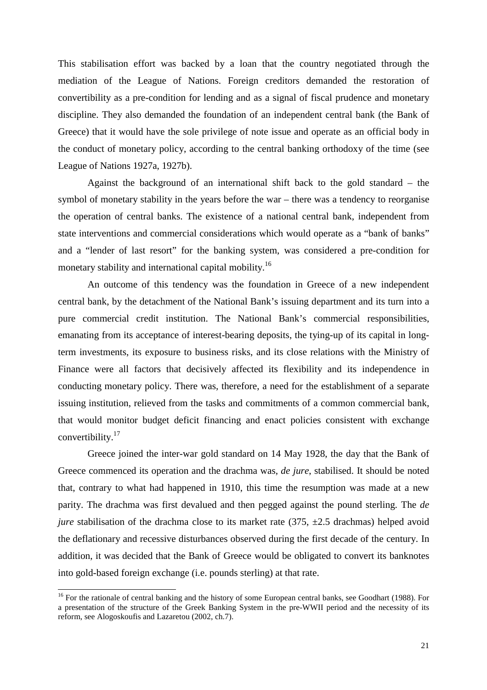This stabilisation effort was backed by a loan that the country negotiated through the mediation of the League of Nations. Foreign creditors demanded the restoration of convertibility as a pre-condition for lending and as a signal of fiscal prudence and monetary discipline. They also demanded the foundation of an independent central bank (the Bank of Greece) that it would have the sole privilege of note issue and operate as an official body in the conduct of monetary policy, according to the central banking orthodoxy of the time (see League of Nations 1927a, 1927b).

Against the background of an international shift back to the gold standard – the symbol of monetary stability in the years before the war – there was a tendency to reorganise the operation of central banks. The existence of a national central bank, independent from state interventions and commercial considerations which would operate as a "bank of banks" and a "lender of last resort" for the banking system, was considered a pre-condition for monetary stability and international capital mobility.<sup>16</sup>

An outcome of this tendency was the foundation in Greece of a new independent central bank, by the detachment of the National Bank's issuing department and its turn into a pure commercial credit institution. The National Bank's commercial responsibilities, emanating from its acceptance of interest-bearing deposits, the tying-up of its capital in longterm investments, its exposure to business risks, and its close relations with the Ministry of Finance were all factors that decisively affected its flexibility and its independence in conducting monetary policy. There was, therefore, a need for the establishment of a separate issuing institution, relieved from the tasks and commitments of a common commercial bank, that would monitor budget deficit financing and enact policies consistent with exchange convertibility.<sup>17</sup>

Greece joined the inter-war gold standard on 14 May 1928, the day that the Bank of Greece commenced its operation and the drachma was, *de jure*, stabilised. It should be noted that, contrary to what had happened in 1910, this time the resumption was made at a new parity. The drachma was first devalued and then pegged against the pound sterling. The *de jure* stabilisation of the drachma close to its market rate (375,  $\pm$ 2.5 drachmas) helped avoid the deflationary and recessive disturbances observed during the first decade of the century. In addition, it was decided that the Bank of Greece would be obligated to convert its banknotes into gold-based foreign exchange (i.e. pounds sterling) at that rate.

l

<sup>&</sup>lt;sup>16</sup> For the rationale of central banking and the history of some European central banks, see Goodhart (1988). For a presentation of the structure of the Greek Banking System in the pre-WWII period and the necessity of its reform, see Alogoskoufis and Lazaretou (2002, ch.7).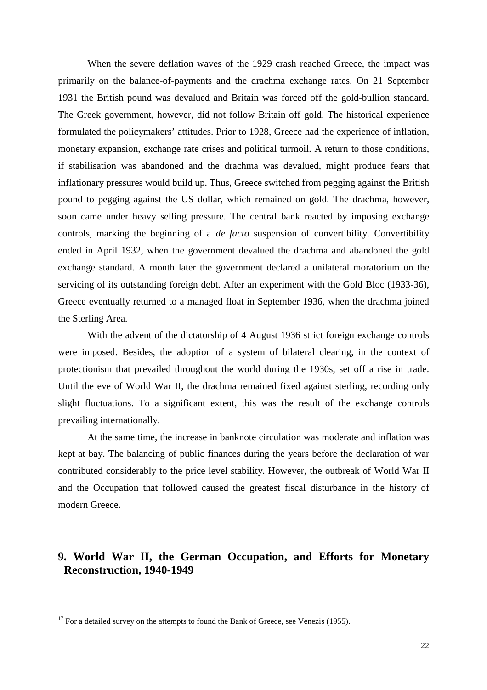When the severe deflation waves of the 1929 crash reached Greece, the impact was primarily on the balance-of-payments and the drachma exchange rates. On 21 September 1931 the British pound was devalued and Britain was forced off the gold-bullion standard. The Greek government, however, did not follow Britain off gold. The historical experience formulated the policymakers' attitudes. Prior to 1928, Greece had the experience of inflation, monetary expansion, exchange rate crises and political turmoil. A return to those conditions, if stabilisation was abandoned and the drachma was devalued, might produce fears that inflationary pressures would build up. Thus, Greece switched from pegging against the British pound to pegging against the US dollar, which remained on gold. The drachma, however, soon came under heavy selling pressure. The central bank reacted by imposing exchange controls, marking the beginning of a *de facto* suspension of convertibility. Convertibility ended in April 1932, when the government devalued the drachma and abandoned the gold exchange standard. A month later the government declared a unilateral moratorium on the servicing of its outstanding foreign debt. After an experiment with the Gold Bloc (1933-36), Greece eventually returned to a managed float in September 1936, when the drachma joined the Sterling Area.

With the advent of the dictatorship of 4 August 1936 strict foreign exchange controls were imposed. Besides, the adoption of a system of bilateral clearing, in the context of protectionism that prevailed throughout the world during the 1930s, set off a rise in trade. Until the eve of World War II, the drachma remained fixed against sterling, recording only slight fluctuations. To a significant extent, this was the result of the exchange controls prevailing internationally.

At the same time, the increase in banknote circulation was moderate and inflation was kept at bay. The balancing of public finances during the years before the declaration of war contributed considerably to the price level stability. However, the outbreak of World War II and the Occupation that followed caused the greatest fiscal disturbance in the history of modern Greece.

## **9. World War II, the German Occupation, and Efforts for Monetary Reconstruction, 1940-1949**

 $\overline{17}$  For a detailed survey on the attempts to found the Bank of Greece, see Venezis (1955).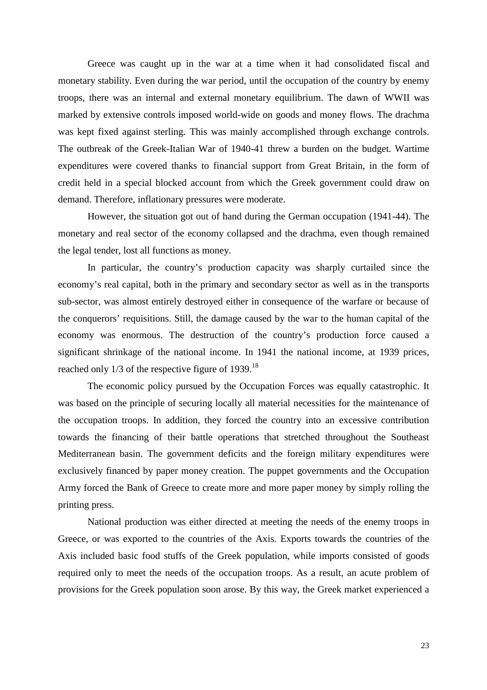Greece was caught up in the war at a time when it had consolidated fiscal and monetary stability. Even during the war period, until the occupation of the country by enemy troops, there was an internal and external monetary equilibrium. The dawn of WWII was marked by extensive controls imposed world-wide on goods and money flows. The drachma was kept fixed against sterling. This was mainly accomplished through exchange controls. The outbreak of the Greek-Italian War of 1940-41 threw a burden on the budget. Wartime expenditures were covered thanks to financial support from Great Britain, in the form of credit held in a special blocked account from which the Greek government could draw on demand. Therefore, inflationary pressures were moderate.

However, the situation got out of hand during the German occupation (1941-44). The monetary and real sector of the economy collapsed and the drachma, even though remained the legal tender, lost all functions as money.

In particular, the country's production capacity was sharply curtailed since the economy's real capital, both in the primary and secondary sector as well as in the transports sub-sector, was almost entirely destroyed either in consequence of the warfare or because of the conquerors' requisitions. Still, the damage caused by the war to the human capital of the economy was enormous. The destruction of the country's production force caused a significant shrinkage of the national income. In 1941 the national income, at 1939 prices, reached only 1/3 of the respective figure of 1939.<sup>18</sup>

The economic policy pursued by the Occupation Forces was equally catastrophic. It was based on the principle of securing locally all material necessities for the maintenance of the occupation troops. In addition, they forced the country into an excessive contribution towards the financing of their battle operations that stretched throughout the Southeast Mediterranean basin. The government deficits and the foreign military expenditures were exclusively financed by paper money creation. The puppet governments and the Occupation Army forced the Bank of Greece to create more and more paper money by simply rolling the printing press.

National production was either directed at meeting the needs of the enemy troops in Greece, or was exported to the countries of the Axis. Exports towards the countries of the Axis included basic food stuffs of the Greek population, while imports consisted of goods required only to meet the needs of the occupation troops. As a result, an acute problem of provisions for the Greek population soon arose. By this way, the Greek market experienced a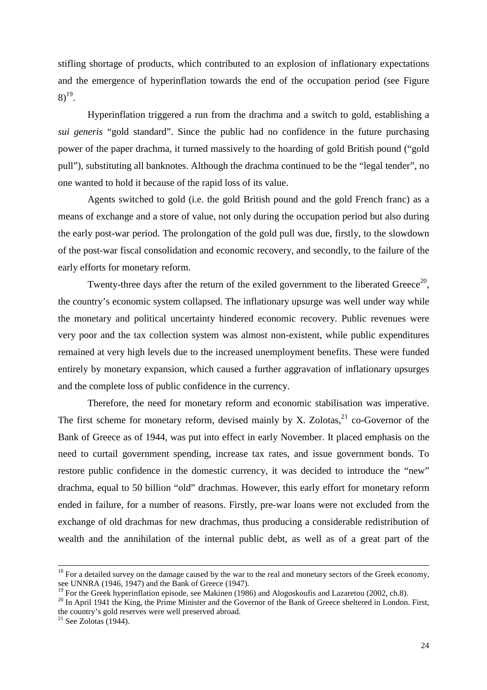stifling shortage of products, which contributed to an explosion of inflationary expectations and the emergence of hyperinflation towards the end of the occupation period (see Figure  $8)^{19}$ .

Hyperinflation triggered a run from the drachma and a switch to gold, establishing a *sui generis* "gold standard". Since the public had no confidence in the future purchasing power of the paper drachma, it turned massively to the hoarding of gold British pound ("gold pull"), substituting all banknotes. Although the drachma continued to be the "legal tender", no one wanted to hold it because of the rapid loss of its value.

Agents switched to gold (i.e. the gold British pound and the gold French franc) as a means of exchange and a store of value, not only during the occupation period but also during the early post-war period. The prolongation of the gold pull was due, firstly, to the slowdown of the post-war fiscal consolidation and economic recovery, and secondly, to the failure of the early efforts for monetary reform.

Twenty-three days after the return of the exiled government to the liberated Greece<sup>20</sup>, the country's economic system collapsed. The inflationary upsurge was well under way while the monetary and political uncertainty hindered economic recovery. Public revenues were very poor and the tax collection system was almost non-existent, while public expenditures remained at very high levels due to the increased unemployment benefits. These were funded entirely by monetary expansion, which caused a further aggravation of inflationary upsurges and the complete loss of public confidence in the currency.

Therefore, the need for monetary reform and economic stabilisation was imperative. The first scheme for monetary reform, devised mainly by X. Zolotas,  $^{21}$  co-Governor of the Bank of Greece as of 1944, was put into effect in early November. It placed emphasis on the need to curtail government spending, increase tax rates, and issue government bonds. To restore public confidence in the domestic currency, it was decided to introduce the "new" drachma, equal to 50 billion "old" drachmas. However, this early effort for monetary reform ended in failure, for a number of reasons. Firstly, pre-war loans were not excluded from the exchange of old drachmas for new drachmas, thus producing a considerable redistribution of wealth and the annihilation of the internal public debt, as well as of a great part of the

 $18$  For a detailed survey on the damage caused by the war to the real and monetary sectors of the Greek economy, see UNNRA (1946, 1947) and the Bank of Greece (1947).

<sup>&</sup>lt;sup>19</sup> For the Greek hyperinflation episode, see Makinen (1986) and Alogoskoufis and Lazaretou (2002, ch.8).

<sup>&</sup>lt;sup>20</sup> In April 1941 the King, the Prime Minister and the Governor of the Bank of Greece sheltered in London. First, the country's gold reserves were well preserved abroad.

 $21$  See Zolotas (1944).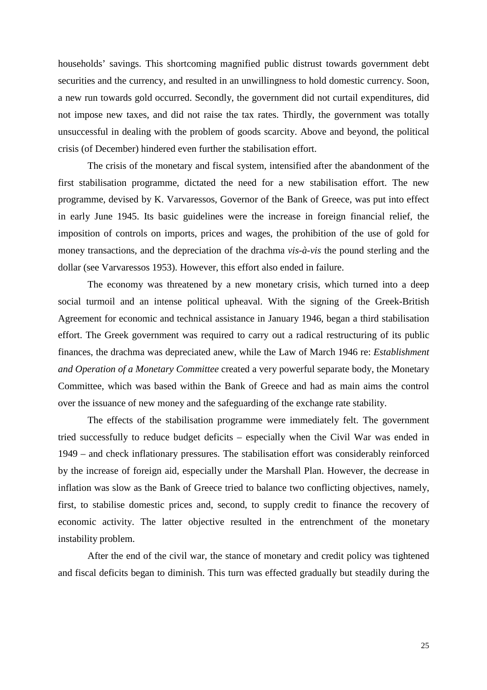households' savings. This shortcoming magnified public distrust towards government debt securities and the currency, and resulted in an unwillingness to hold domestic currency. Soon, a new run towards gold occurred. Secondly, the government did not curtail expenditures, did not impose new taxes, and did not raise the tax rates. Thirdly, the government was totally unsuccessful in dealing with the problem of goods scarcity. Above and beyond, the political crisis (of December) hindered even further the stabilisation effort.

The crisis of the monetary and fiscal system, intensified after the abandonment of the first stabilisation programme, dictated the need for a new stabilisation effort. The new programme, devised by K. Varvaressos, Governor of the Bank of Greece, was put into effect in early June 1945. Its basic guidelines were the increase in foreign financial relief, the imposition of controls on imports, prices and wages, the prohibition of the use of gold for money transactions, and the depreciation of the drachma *vis-à-vis* the pound sterling and the dollar (see Varvaressos 1953). However, this effort also ended in failure.

The economy was threatened by a new monetary crisis, which turned into a deep social turmoil and an intense political upheaval. With the signing of the Greek-British Agreement for economic and technical assistance in January 1946, began a third stabilisation effort. The Greek government was required to carry out a radical restructuring of its public finances, the drachma was depreciated anew, while the Law of March 1946 re: *Establishment and Operation of a Monetary Committee* created a very powerful separate body, the Monetary Committee, which was based within the Bank of Greece and had as main aims the control over the issuance of new money and the safeguarding of the exchange rate stability.

The effects of the stabilisation programme were immediately felt. The government tried successfully to reduce budget deficits – especially when the Civil War was ended in 1949 – and check inflationary pressures. The stabilisation effort was considerably reinforced by the increase of foreign aid, especially under the Marshall Plan. However, the decrease in inflation was slow as the Bank of Greece tried to balance two conflicting objectives, namely, first, to stabilise domestic prices and, second, to supply credit to finance the recovery of economic activity. The latter objective resulted in the entrenchment of the monetary instability problem.

After the end of the civil war, the stance of monetary and credit policy was tightened and fiscal deficits began to diminish. This turn was effected gradually but steadily during the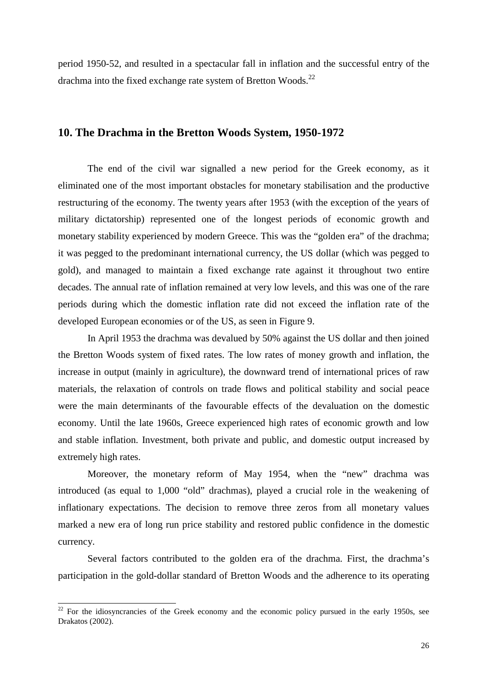period 1950-52, and resulted in a spectacular fall in inflation and the successful entry of the drachma into the fixed exchange rate system of Bretton Woods. $^{22}$ 

#### **10. The Drachma in the Bretton Woods System, 1950-1972**

The end of the civil war signalled a new period for the Greek economy, as it eliminated one of the most important obstacles for monetary stabilisation and the productive restructuring of the economy. The twenty years after 1953 (with the exception of the years of military dictatorship) represented one of the longest periods of economic growth and monetary stability experienced by modern Greece. This was the "golden era" of the drachma; it was pegged to the predominant international currency, the US dollar (which was pegged to gold), and managed to maintain a fixed exchange rate against it throughout two entire decades. The annual rate of inflation remained at very low levels, and this was one of the rare periods during which the domestic inflation rate did not exceed the inflation rate of the developed European economies or of the US, as seen in Figure 9.

In April 1953 the drachma was devalued by 50% against the US dollar and then joined the Bretton Woods system of fixed rates. The low rates of money growth and inflation, the increase in output (mainly in agriculture), the downward trend of international prices of raw materials, the relaxation of controls on trade flows and political stability and social peace were the main determinants of the favourable effects of the devaluation on the domestic economy. Until the late 1960s, Greece experienced high rates of economic growth and low and stable inflation. Investment, both private and public, and domestic output increased by extremely high rates.

Moreover, the monetary reform of May 1954, when the "new" drachma was introduced (as equal to 1,000 "old" drachmas), played a crucial role in the weakening of inflationary expectations. The decision to remove three zeros from all monetary values marked a new era of long run price stability and restored public confidence in the domestic currency.

Several factors contributed to the golden era of the drachma. First, the drachma's participation in the gold-dollar standard of Bretton Woods and the adherence to its operating

 $\overline{\phantom{a}}$ 

 $22$  For the idiosyncrancies of the Greek economy and the economic policy pursued in the early 1950s, see Drakatos (2002).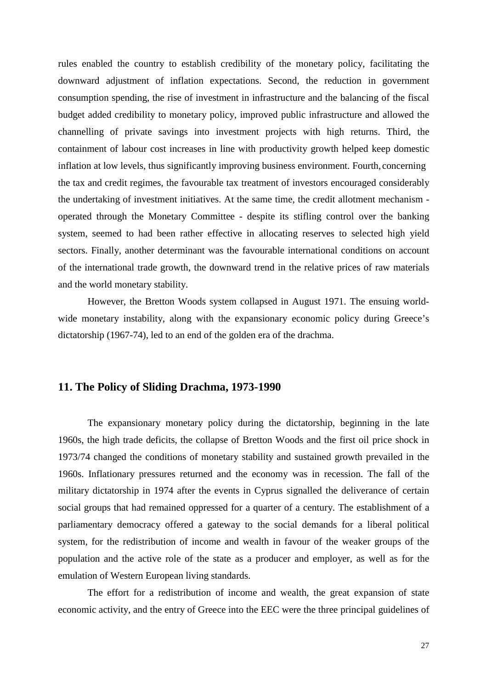rules enabled the country to establish credibility of the monetary policy, facilitating the downward adjustment of inflation expectations. Second, the reduction in government consumption spending, the rise of investment in infrastructure and the balancing of the fiscal budget added credibility to monetary policy, improved public infrastructure and allowed the channelling of private savings into investment projects with high returns. Third, the containment of labour cost increases in line with productivity growth helped keep domestic inflation at low levels, thus significantly improving business environment. Fourth, concerning the tax and credit regimes, the favourable tax treatment of investors encouraged considerably the undertaking of investment initiatives. At the same time, the credit allotment mechanism operated through the Monetary Committee - despite its stifling control over the banking system, seemed to had been rather effective in allocating reserves to selected high yield sectors. Finally, another determinant was the favourable international conditions on account of the international trade growth, the downward trend in the relative prices of raw materials and the world monetary stability.

However, the Bretton Woods system collapsed in August 1971. The ensuing worldwide monetary instability, along with the expansionary economic policy during Greece's dictatorship (1967-74), led to an end of the golden era of the drachma.

#### **11. The Policy of Sliding Drachma, 1973-1990**

The expansionary monetary policy during the dictatorship, beginning in the late 1960s, the high trade deficits, the collapse of Bretton Woods and the first oil price shock in 1973/74 changed the conditions of monetary stability and sustained growth prevailed in the 1960s. Inflationary pressures returned and the economy was in recession. The fall of the military dictatorship in 1974 after the events in Cyprus signalled the deliverance of certain social groups that had remained oppressed for a quarter of a century. The establishment of a parliamentary democracy offered a gateway to the social demands for a liberal political system, for the redistribution of income and wealth in favour of the weaker groups of the population and the active role of the state as a producer and employer, as well as for the emulation of Western European living standards.

The effort for a redistribution of income and wealth, the great expansion of state economic activity, and the entry of Greece into the EEC were the three principal guidelines of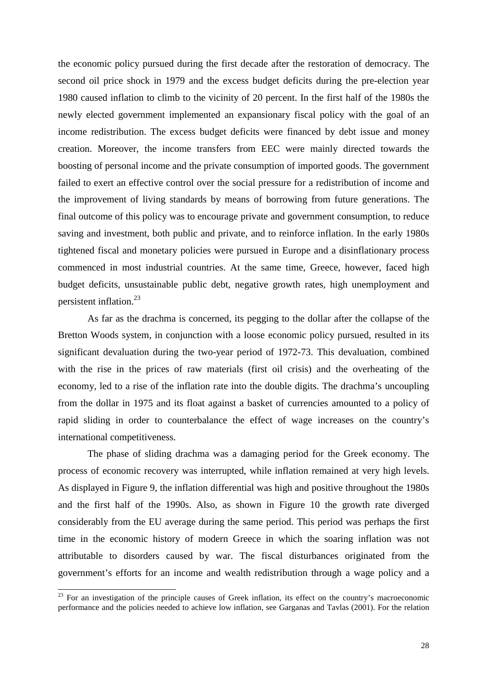the economic policy pursued during the first decade after the restoration of democracy. The second oil price shock in 1979 and the excess budget deficits during the pre-election year 1980 caused inflation to climb to the vicinity of 20 percent. In the first half of the 1980s the newly elected government implemented an expansionary fiscal policy with the goal of an income redistribution. The excess budget deficits were financed by debt issue and money creation. Moreover, the income transfers from EEC were mainly directed towards the boosting of personal income and the private consumption of imported goods. The government failed to exert an effective control over the social pressure for a redistribution of income and the improvement of living standards by means of borrowing from future generations. The final outcome of this policy was to encourage private and government consumption, to reduce saving and investment, both public and private, and to reinforce inflation. In the early 1980s tightened fiscal and monetary policies were pursued in Europe and a disinflationary process commenced in most industrial countries. At the same time, Greece, however, faced high budget deficits, unsustainable public debt, negative growth rates, high unemployment and persistent inflation.<sup>23</sup>

As far as the drachma is concerned, its pegging to the dollar after the collapse of the Bretton Woods system, in conjunction with a loose economic policy pursued, resulted in its significant devaluation during the two-year period of 1972-73. This devaluation, combined with the rise in the prices of raw materials (first oil crisis) and the overheating of the economy, led to a rise of the inflation rate into the double digits. The drachma's uncoupling from the dollar in 1975 and its float against a basket of currencies amounted to a policy of rapid sliding in order to counterbalance the effect of wage increases on the country's international competitiveness.

The phase of sliding drachma was a damaging period for the Greek economy. The process of economic recovery was interrupted, while inflation remained at very high levels. As displayed in Figure 9, the inflation differential was high and positive throughout the 1980s and the first half of the 1990s. Also, as shown in Figure 10 the growth rate diverged considerably from the EU average during the same period. This period was perhaps the first time in the economic history of modern Greece in which the soaring inflation was not attributable to disorders caused by war. The fiscal disturbances originated from the government's efforts for an income and wealth redistribution through a wage policy and a

l

<sup>&</sup>lt;sup>23</sup> For an investigation of the principle causes of Greek inflation, its effect on the country's macroeconomic performance and the policies needed to achieve low inflation, see Garganas and Tavlas (2001). For the relation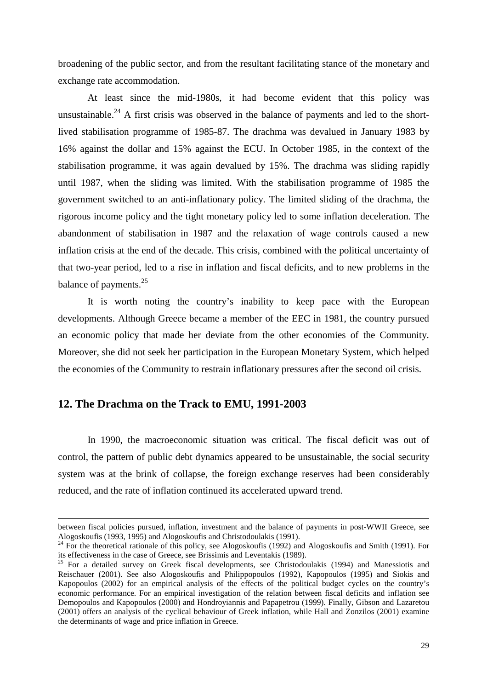broadening of the public sector, and from the resultant facilitating stance of the monetary and exchange rate accommodation.

At least since the mid-1980s, it had become evident that this policy was unsustainable.<sup>24</sup> A first crisis was observed in the balance of payments and led to the shortlived stabilisation programme of 1985-87. The drachma was devalued in January 1983 by 16% against the dollar and 15% against the ECU. In October 1985, in the context of the stabilisation programme, it was again devalued by 15%. The drachma was sliding rapidly until 1987, when the sliding was limited. With the stabilisation programme of 1985 the government switched to an anti-inflationary policy. The limited sliding of the drachma, the rigorous income policy and the tight monetary policy led to some inflation deceleration. The abandonment of stabilisation in 1987 and the relaxation of wage controls caused a new inflation crisis at the end of the decade. This crisis, combined with the political uncertainty of that two-year period, led to a rise in inflation and fiscal deficits, and to new problems in the balance of payments.<sup>25</sup>

It is worth noting the country's inability to keep pace with the European developments. Although Greece became a member of the EEC in 1981, the country pursued an economic policy that made her deviate from the other economies of the Community. Moreover, she did not seek her participation in the European Monetary System, which helped the economies of the Community to restrain inflationary pressures after the second oil crisis.

#### **12. The Drachma on the Track to EMU, 1991-2003**

l

In 1990, the macroeconomic situation was critical. The fiscal deficit was out of control, the pattern of public debt dynamics appeared to be unsustainable, the social security system was at the brink of collapse, the foreign exchange reserves had been considerably reduced, and the rate of inflation continued its accelerated upward trend.

between fiscal policies pursued, inflation, investment and the balance of payments in post-WWII Greece, see Alogoskoufis (1993, 1995) and Alogoskoufis and Christodoulakis (1991).

<sup>24</sup> For the theoretical rationale of this policy, see Alogoskoufis (1992) and Alogoskoufis and Smith (1991). For its effectiveness in the case of Greece, see Brissimis and Leventakis (1989).

<sup>&</sup>lt;sup>25</sup> For a detailed survey on Greek fiscal developments, see Christodoulakis (1994) and Manessiotis and Reischauer (2001). See also Alogoskoufis and Philippopoulos (1992), Kapopoulos (1995) and Siokis and Kapopoulos (2002) for an empirical analysis of the effects of the political budget cycles on the country's economic performance. For an empirical investigation of the relation between fiscal deficits and inflation see Demopoulos and Kapopoulos (2000) and Hondroyiannis and Papapetrou (1999). Finally, Gibson and Lazaretou (2001) offers an analysis of the cyclical behaviour of Greek inflation, while Hall and Zonzilos (2001) examine the determinants of wage and price inflation in Greece.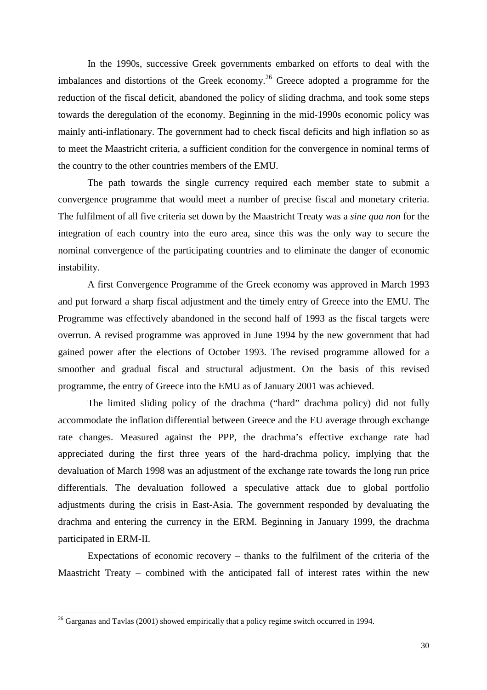In the 1990s, successive Greek governments embarked on efforts to deal with the imbalances and distortions of the Greek economy.<sup>26</sup> Greece adopted a programme for the reduction of the fiscal deficit, abandoned the policy of sliding drachma, and took some steps towards the deregulation of the economy. Beginning in the mid-1990s economic policy was mainly anti-inflationary. The government had to check fiscal deficits and high inflation so as to meet the Maastricht criteria, a sufficient condition for the convergence in nominal terms of the country to the other countries members of the EMU.

The path towards the single currency required each member state to submit a convergence programme that would meet a number of precise fiscal and monetary criteria. The fulfilment of all five criteria set down by the Maastricht Treaty was a *sine qua non* for the integration of each country into the euro area, since this was the only way to secure the nominal convergence of the participating countries and to eliminate the danger of economic instability.

A first Convergence Programme of the Greek economy was approved in March 1993 and put forward a sharp fiscal adjustment and the timely entry of Greece into the EMU. The Programme was effectively abandoned in the second half of 1993 as the fiscal targets were overrun. A revised programme was approved in June 1994 by the new government that had gained power after the elections of October 1993. The revised programme allowed for a smoother and gradual fiscal and structural adjustment. On the basis of this revised programme, the entry of Greece into the EMU as of January 2001 was achieved.

The limited sliding policy of the drachma ("hard" drachma policy) did not fully accommodate the inflation differential between Greece and the EU average through exchange rate changes. Measured against the PPP, the drachma's effective exchange rate had appreciated during the first three years of the hard-drachma policy, implying that the devaluation of March 1998 was an adjustment of the exchange rate towards the long run price differentials. The devaluation followed a speculative attack due to global portfolio adjustments during the crisis in East-Asia. The government responded by devaluating the drachma and entering the currency in the ERM. Beginning in January 1999, the drachma participated in ERM-II.

Expectations of economic recovery – thanks to the fulfilment of the criteria of the Maastricht Treaty – combined with the anticipated fall of interest rates within the new

l

 $26$  Garganas and Tavlas (2001) showed empirically that a policy regime switch occurred in 1994.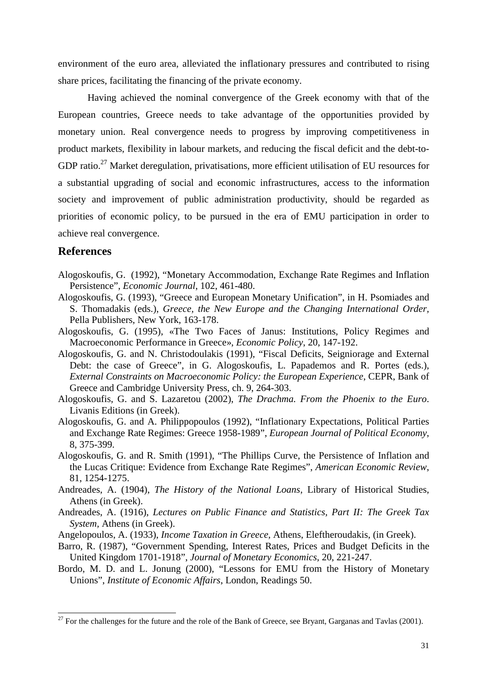environment of the euro area, alleviated the inflationary pressures and contributed to rising share prices, facilitating the financing of the private economy.

Having achieved the nominal convergence of the Greek economy with that of the European countries, Greece needs to take advantage of the opportunities provided by monetary union. Real convergence needs to progress by improving competitiveness in product markets, flexibility in labour markets, and reducing the fiscal deficit and the debt-to-GDP ratio.<sup>27</sup> Market deregulation, privatisations, more efficient utilisation of EU resources for a substantial upgrading of social and economic infrastructures, access to the information society and improvement of public administration productivity, should be regarded as priorities of economic policy, to be pursued in the era of EMU participation in order to achieve real convergence.

#### **References**

l

- Alogoskoufis, G. (1992), "Monetary Accommodation, Exchange Rate Regimes and Inflation Persistence", *Economic Journal*, 102, 461-480.
- Alogoskoufis, G. (1993), "Greece and European Monetary Unification", in H. Psomiades and S. Thomadakis (eds.), *Greece, the New Europe and the Changing International Order,* Pella Publishers, New York, 163-178.
- Alogoskoufis, G. (1995), «The Two Faces of Janus: Institutions, Policy Regimes and Macroeconomic Performance in Greece», *Economic Policy*, 20, 147-192.
- Alogoskoufis, G. and N. Christodoulakis (1991), "Fiscal Deficits, Seigniorage and External Debt: the case of Greece", in G. Alogoskoufis, L. Papademos and R. Portes (eds.), *External Constraints on Macroeconomic Policy: the European Experience*, CEPR, Bank of Greece and Cambridge University Press, ch. 9, 264-303.
- Alogoskoufis, G. and S. Lazaretou (2002), *The Drachma. From the Phoenix to the Euro*. Livanis Editions (in Greek).
- Alogoskoufis, G. and A. Philippopoulos (1992), "Inflationary Expectations, Political Parties and Exchange Rate Regimes: Greece 1958-1989", *European Journal of Political Economy*, 8, 375-399.
- Alogoskoufis, G. and R. Smith (1991), "The Phillips Curve, the Persistence of Inflation and the Lucas Critique: Evidence from Exchange Rate Regimes", *American Economic Review*, 81, 1254-1275.
- Andreades, A. (1904), *The History of the National Loans*, Library of Historical Studies, Athens (in Greek).
- Andreades, A. (1916), *Lectures on Public Finance and Statistics, Part II: The Greek Tax System,* Athens (in Greek).
- Angelopoulos, A. (1933), *Income Taxation in Greece,* Athens, Eleftheroudakis, (in Greek).
- Barro, R. (1987), "Government Spending, Interest Rates, Prices and Budget Deficits in the United Kingdom 1701-1918", *Journal of Monetary Economics*, 20, 221-247.
- Bordo, M. D. and L. Jonung (2000), "Lessons for EMU from the History of Monetary Unions", *Institute of Economic Affairs*, London, Readings 50.

 $^{27}$  For the challenges for the future and the role of the Bank of Greece, see Bryant, Garganas and Tavlas (2001).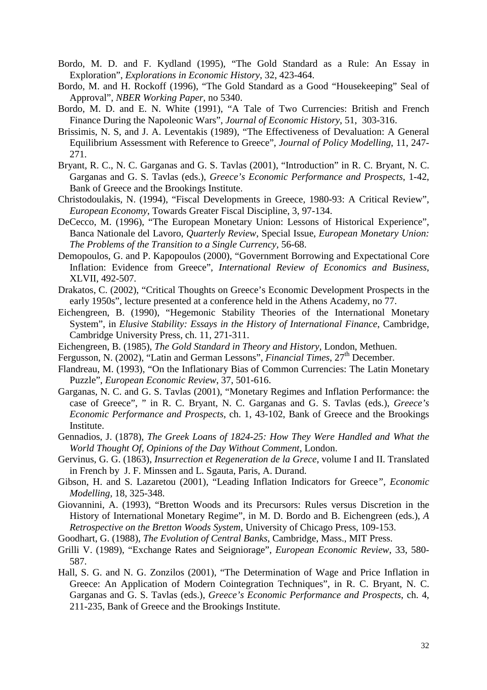- Bordo, M. D. and F. Kydland (1995), "The Gold Standard as a Rule: An Essay in Exploration", *Explorations in Economic History*, 32, 423-464.
- Bordo, M. and H. Rockoff (1996), "The Gold Standard as a Good "Housekeeping" Seal of Approval", *NBER Working Paper*, no 5340.
- Bordo, M. D. and E. N. White (1991), "A Tale of Two Currencies: British and French Finance During the Napoleonic Wars", *Journal of Economic History*, 51, 303-316.
- Brissimis, N. S, and J. A. Leventakis (1989), "The Effectiveness of Devaluation: A General Equilibrium Assessment with Reference to Greece", *Journal of Policy Modelling*, 11, 247- 271.
- Bryant, R. C., N. C. Garganas and G. S. Tavlas (2001), "Introduction" in R. C. Bryant, N. C. Garganas and G. S. Tavlas (eds.), *Greece's Economic Performance and Prospects*, 1-42, Bank of Greece and the Brookings Institute.
- Christodoulakis, N. (1994), "Fiscal Developments in Greece, 1980-93: A Critical Review", *European Economy*, Towards Greater Fiscal Discipline, 3, 97-134.
- DeCecco, M. (1996), "The European Monetary Union: Lessons of Historical Experience", Banca Nationale del Lavoro, *Quarterly Review*, Special Issue, *European Monetary Union: The Problems of the Transition to a Single Currency,* 56-68.
- Demopoulos, G. and P. Kapopoulos (2000), "Government Borrowing and Expectational Core Inflation: Evidence from Greece", *International Review of Economics and Business*, XLVII, 492-507.
- Drakatos, C. (2002), "Critical Thoughts on Greece's Economic Development Prospects in the early 1950s", lecture presented at a conference held in the Athens Academy, no 77.
- Eichengreen, B. (1990), "Hegemonic Stability Theories of the International Monetary System", in *Elusive Stability: Essays in the History of International Finance*, Cambridge, Cambridge University Press, ch. 11, 271-311.
- Eichengreen, B. (1985), *The Gold Standard in Theory and History*, London, Methuen.
- Fergusson, N. (2002), "Latin and German Lessons", *Financial Times*, 27<sup>th</sup> December.
- Flandreau, M. (1993), "On the Inflationary Bias of Common Currencies: The Latin Monetary Puzzle", *European Economic Review*, 37, 501-616.
- Garganas, N. C. and G. S. Tavlas (2001), "Monetary Regimes and Inflation Performance: the case of Greece", " in R. C. Bryant, N. C. Garganas and G. S. Tavlas (eds.), *Greece's Economic Performance and Prospects*, ch. 1, 43-102, Bank of Greece and the Brookings Institute.
- Gennadios, J. (1878), *The Greek Loans of 1824-25: How They Were Handled and What the World Thought Of, Opinions of the Day Without Comment*, London.
- Gervinus, G. G. (1863), *Insurrection et Regeneration de la Grece*, volume I and II. Translated in French by J. F. Minssen and L. Sgauta, Paris, A. Durand.
- Gibson, H. and S. Lazaretou (2001), "Leading Inflation Indicators for Greece*", Economic Modelling,* 18, 325-348.
- Giovannini, A. (1993), "Bretton Woods and its Precursors: Rules versus Discretion in the History of International Monetary Regime", in M. D. Bordo and B. Eichengreen (eds.), *A Retrospective on the Bretton Woods System*, University of Chicago Press, 109-153.
- Goodhart, G. (1988), *The Evolution of Central Banks*, Cambridge, Mass., MIT Press.
- Grilli V. (1989), "Exchange Rates and Seigniorage", *European Economic Review*, 33, 580- 587.
- Hall, S. G. and N. G. Zonzilos (2001), "The Determination of Wage and Price Inflation in Greece: An Application of Modern Cointegration Techniques", in R. C. Bryant, N. C. Garganas and G. S. Tavlas (eds.), *Greece's Economic Performance and Prospects*, ch. 4, 211-235, Bank of Greece and the Brookings Institute.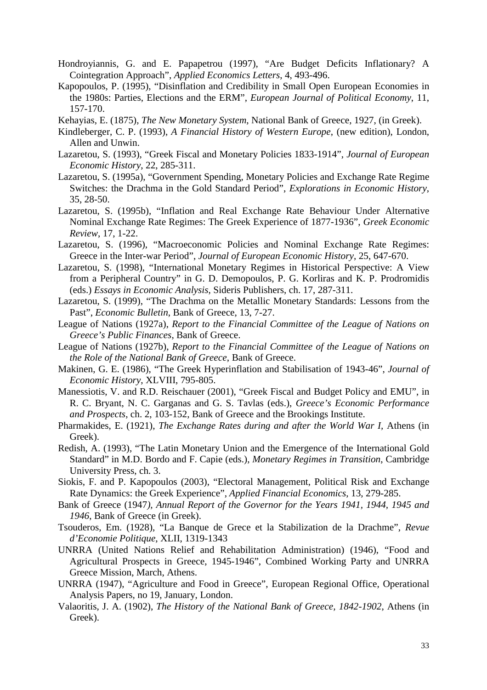- Hondroyiannis, G. and E. Papapetrou (1997), "Are Budget Deficits Inflationary? A Cointegration Approach", *Applied Economics Letters*, 4, 493-496.
- Kapopoulos, P. (1995), "Disinflation and Credibility in Small Open European Economies in the 1980s: Parties, Elections and the ERM", *European Journal of Political Economy*, 11, 157-170.
- Kehayias, E. (1875), *The New Monetary System*, National Bank of Greece, 1927, (in Greek).
- Kindleberger, C. P. (1993), *A Financial History of Western Europe*, (new edition), London, Allen and Unwin.
- Lazaretou, S. (1993), "Greek Fiscal and Monetary Policies 1833-1914", *Journal of European Economic History*, 22, 285-311.
- Lazaretou, S. (1995a), "Government Spending, Monetary Policies and Exchange Rate Regime Switches: the Drachma in the Gold Standard Period", *Explorations in Economic History*, 35, 28-50.
- Lazaretou, S. (1995b), "Inflation and Real Exchange Rate Behaviour Under Alternative Nominal Exchange Rate Regimes: The Greek Experience of 1877-1936", *Greek Economic Review*, 17, 1-22.
- Lazaretou, S. (1996), "Macroeconomic Policies and Nominal Exchange Rate Regimes: Greece in the Inter-war Period", *Journal of European Economic History*, 25, 647-670.
- Lazaretou, S. (1998), "International Monetary Regimes in Historical Perspective: A View from a Peripheral Country" in G. D. Demopoulos, P. G. Korliras and K. P. Prodromidis (eds.) *Essays in Economic Analysis*, Sideris Publishers, ch. 17, 287-311.
- Lazaretou, S. (1999), "The Drachma on the Metallic Monetary Standards: Lessons from the Past", *Economic Bulletin*, Bank of Greece, 13, 7-27.
- League of Nations (1927a), *Report to the Financial Committee of the League of Nations on Greece's Public Finances*, Bank of Greece.
- League of Nations (1927b), *Report to the Financial Committee of the League of Nations on the Role of the National Bank of Greece*, Bank of Greece.
- Makinen, G. E. (1986), "The Greek Hyperinflation and Stabilisation of 1943-46", *Journal of Economic History*, XLVIII, 795-805.
- Manessiotis, V. and R.D. Reischauer (2001), "Greek Fiscal and Budget Policy and EMU", in R. C. Bryant, N. C. Garganas and G. S. Tavlas (eds.), *Greece's Economic Performance and Prospects*, ch. 2, 103-152, Bank of Greece and the Brookings Institute.
- Pharmakides, E. (1921), *The Exchange Rates during and after the World War I,* Athens (in Greek).
- Redish, A. (1993), "The Latin Monetary Union and the Emergence of the International Gold Standard" in M.D. Bordo and F. Capie (eds.), *Monetary Regimes in Transition*, Cambridge University Press, ch. 3.
- Siokis, F. and P. Kapopoulos (2003), "Electoral Management, Political Risk and Exchange Rate Dynamics: the Greek Experience", *Applied Financial Economics*, 13, 279-285.
- Bank of Greece (1947*), Annual Report of the Governor for the Years 1941, 1944, 1945 and 1946*, Bank of Greece (in Greek).
- Tsouderos, Em. (1928), "La Banque de Grece et la Stabilization de la Drachme", *Revue d'Economie Politique*, XLII, 1319-1343
- UNRRA (United Nations Relief and Rehabilitation Administration) (1946), "Food and Agricultural Prospects in Greece, 1945-1946", Combined Working Party and UNRRA Greece Mission, March, Athens.
- UNRRA (1947), "Agriculture and Food in Greece", European Regional Office, Operational Analysis Papers, no 19, January, London.
- Valaoritis, J. A. (1902), *The History of the National Bank of Greece, 1842-1902*, Athens (in Greek).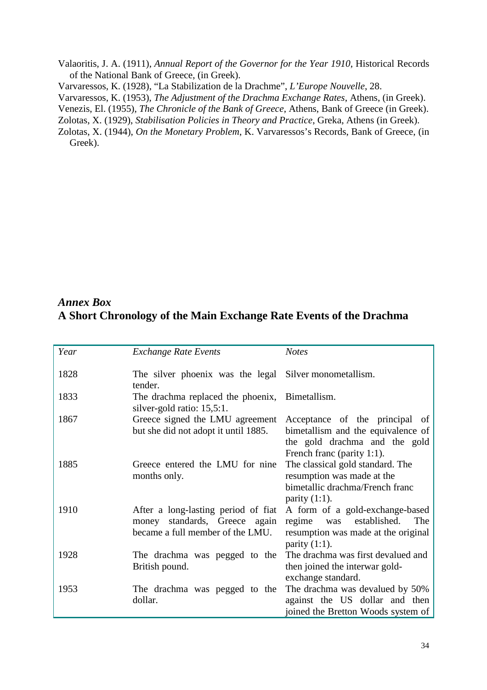Valaoritis, J. A. (1911), *Annual Report of the Governor for the Year 1910*, Historical Records of the National Bank of Greece, (in Greek).

Varvaressos, K. (1928), "La Stabilization de la Drachme", *L'Europe Nouvelle*, 28.

Varvaressos, K. (1953), *The Adjustment of the Drachma Exchange Rates*, Athens, (in Greek).

Venezis, El. (1955), *The Chronicle of the Bank of Greece*, Athens, Bank of Greece (in Greek).

Zolotas, X. (1929), *Stabilisation Policies in Theory and Practice*, Greka, Athens (in Greek).

Zolotas, X. (1944), *On the Monetary Problem*, K. Varvaressos's Records, Bank of Greece, (in Greek).

# *Annex Box* **A Short Chronology of the Main Exchange Rate Events of the Drachma**

| Year | <b>Exchange Rate Events</b>                                                                                 | <b>Notes</b>                                                                                                                        |
|------|-------------------------------------------------------------------------------------------------------------|-------------------------------------------------------------------------------------------------------------------------------------|
| 1828 | The silver phoenix was the legal Silver monometallism.<br>tender.                                           |                                                                                                                                     |
| 1833 | The drachma replaced the phoenix, Bimetallism.<br>silver-gold ratio: 15,5:1.                                |                                                                                                                                     |
| 1867 | Greece signed the LMU agreement<br>but she did not adopt it until 1885.                                     | Acceptance of the principal of<br>bimetallism and the equivalence of<br>the gold drachma and the gold<br>French franc (parity 1:1). |
| 1885 | Greece entered the LMU for nine<br>months only.                                                             | The classical gold standard. The<br>resumption was made at the<br>bimetallic drachma/French franc<br>parity $(1:1)$ .               |
| 1910 | After a long-lasting period of fiat<br>standards, Greece again<br>money<br>became a full member of the LMU. | A form of a gold-exchange-based<br>was established.<br>The<br>regime<br>resumption was made at the original<br>parity $(1:1)$ .     |
| 1928 | The drachma was pegged to the<br>British pound.                                                             | The drachma was first devalued and<br>then joined the interwar gold-<br>exchange standard.                                          |
| 1953 | The drachma was pegged to the<br>dollar.                                                                    | The drachma was devalued by 50%<br>against the US dollar and then<br>joined the Bretton Woods system of                             |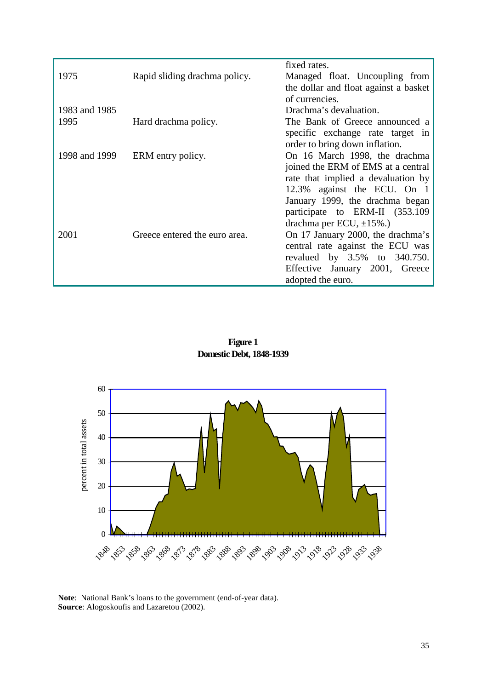|               |                               | fixed rates.                          |
|---------------|-------------------------------|---------------------------------------|
| 1975          | Rapid sliding drachma policy. | Managed float. Uncoupling from        |
|               |                               | the dollar and float against a basket |
|               |                               | of currencies.                        |
| 1983 and 1985 |                               | Drachma's devaluation.                |
| 1995          | Hard drachma policy.          | The Bank of Greece announced a        |
|               |                               | specific exchange rate target in      |
|               |                               | order to bring down inflation.        |
| 1998 and 1999 | ERM entry policy.             | On 16 March 1998, the drachma         |
|               |                               | joined the ERM of EMS at a central    |
|               |                               | rate that implied a devaluation by    |
|               |                               | 12.3% against the ECU. On 1           |
|               |                               | January 1999, the drachma began       |
|               |                               | participate to ERM-II (353.109)       |
|               |                               | drachma per ECU, $\pm$ 15%.)          |
| 2001          | Greece entered the euro area. | On 17 January 2000, the drachma's     |
|               |                               | central rate against the ECU was      |
|               |                               | revalued by 3.5% to 340.750.          |
|               |                               | Effective January 2001, Greece        |
|               |                               | adopted the euro.                     |
|               |                               |                                       |

**Figure 1 Domestic Debt, 1848-1939**



**Note**: National Bank's loans to the government (end-of-year data). **Source**: Alogoskoufis and Lazaretou (2002).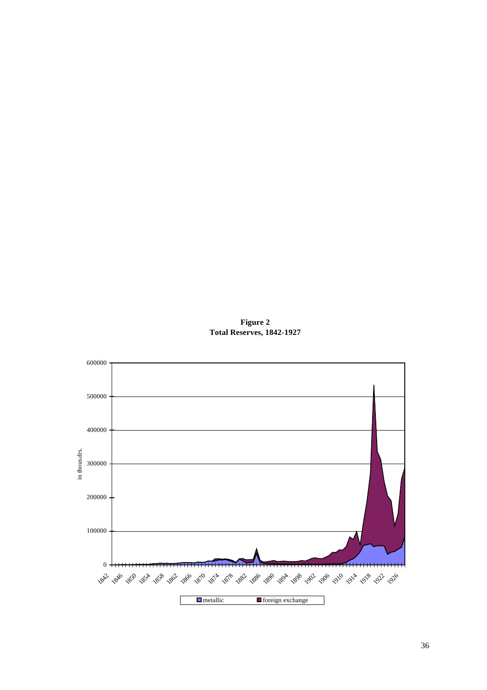**Figure 2 Total Reserves, 1842-1927**

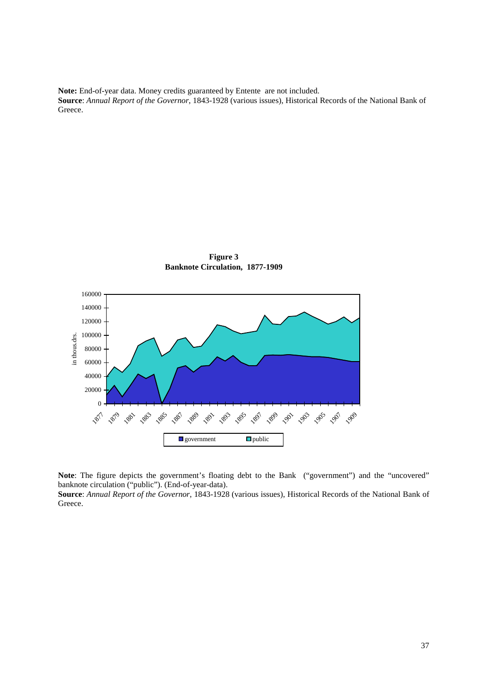**Note:** End-of-year data. Money credits guaranteed by Entente are not included. **Source**: *Annual Report of the Governor*, 1843-1928 (various issues), Historical Records of the National Bank of Greece.



**Figure 3 Banknote Circulation, 1877-1909**

**Note**: The figure depicts the government's floating debt to the Bank ("government") and the "uncovered" banknote circulation ("public"). (End-of-year-data).

**Source**: *Annual Report of the Governor*, 1843-1928 (various issues), Historical Records of the National Bank of Greece.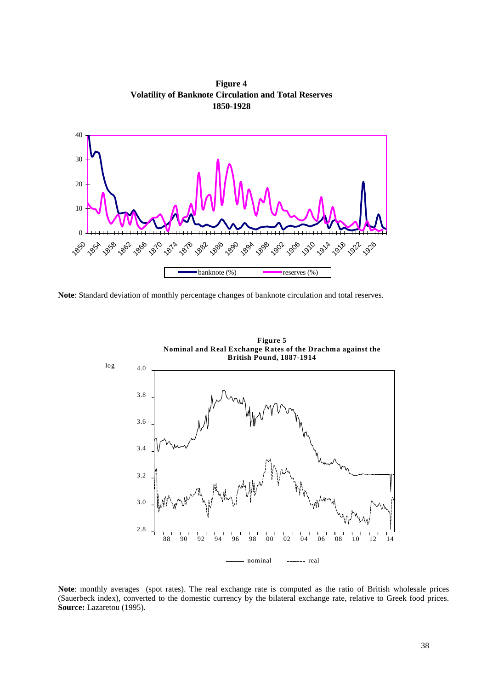**Figure 4 Volatility of Banknote Circulation and Total Reserves 1850-1928**



**Note**: Standard deviation of monthly percentage changes of banknote circulation and total reserves.



**Note**: monthly averages (spot rates). The real exchange rate is computed as the ratio of British wholesale prices (Sauerbeck index), converted to the domestic currency by the bilateral exchange rate, relative to Greek food prices. **Source:** Lazaretou (1995).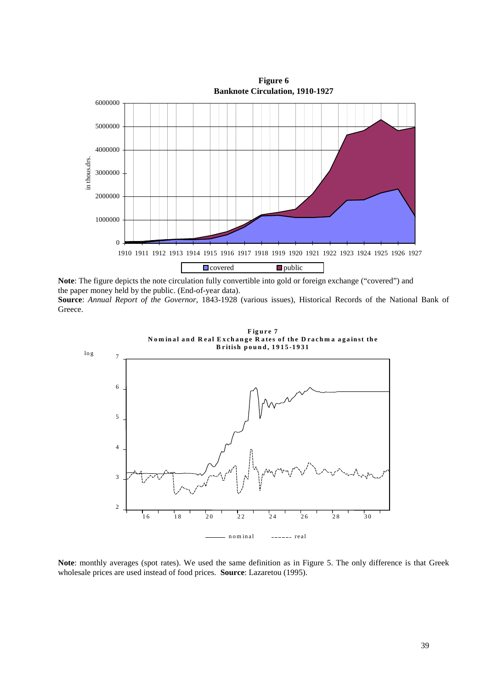

**Note**: The figure depicts the note circulation fully convertible into gold or foreign exchange ("covered") and the paper money held by the public. (End-of-year data).

**Source**: *Annual Report of the Governor*, 1843-1928 (various issues), Historical Records of the National Bank of Greece.



**Note**: monthly averages (spot rates). We used the same definition as in Figure 5. The only difference is that Greek wholesale prices are used instead of food prices. **Source**: Lazaretou (1995).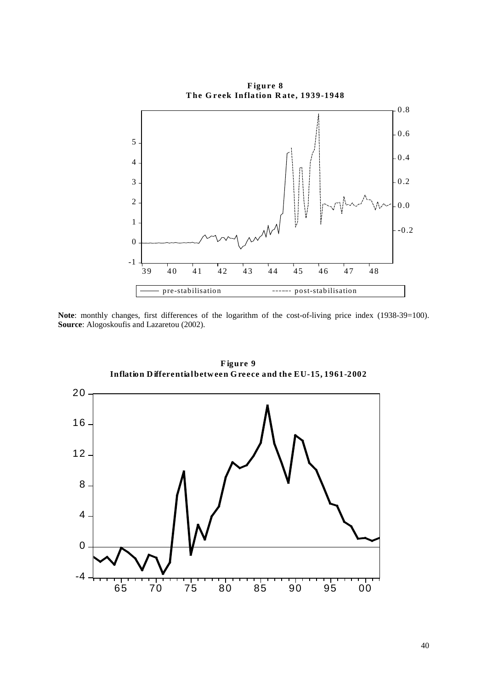

Note: monthly changes, first differences of the logarithm of the cost-of-living price index (1938-39=100). **Source**: Alogoskoufis and Lazaretou (2002).



**F igure 9 Inflation D ifferential betw een G reece and the EU-15, 1961-2002**